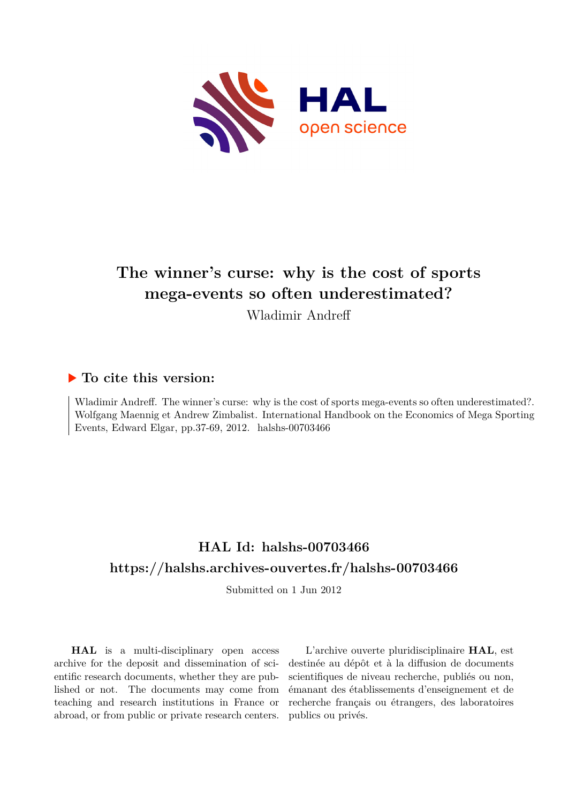

# **The winner's curse: why is the cost of sports mega-events so often underestimated?**

Wladimir Andreff

## **To cite this version:**

Wladimir Andreff. The winner's curse: why is the cost of sports mega-events so often underestimated?. Wolfgang Maennig et Andrew Zimbalist. International Handbook on the Economics of Mega Sporting Events, Edward Elgar, pp.37-69, 2012. halshs-00703466

## **HAL Id: halshs-00703466 <https://halshs.archives-ouvertes.fr/halshs-00703466>**

Submitted on 1 Jun 2012

**HAL** is a multi-disciplinary open access archive for the deposit and dissemination of scientific research documents, whether they are published or not. The documents may come from teaching and research institutions in France or abroad, or from public or private research centers.

L'archive ouverte pluridisciplinaire **HAL**, est destinée au dépôt et à la diffusion de documents scientifiques de niveau recherche, publiés ou non, émanant des établissements d'enseignement et de recherche français ou étrangers, des laboratoires publics ou privés.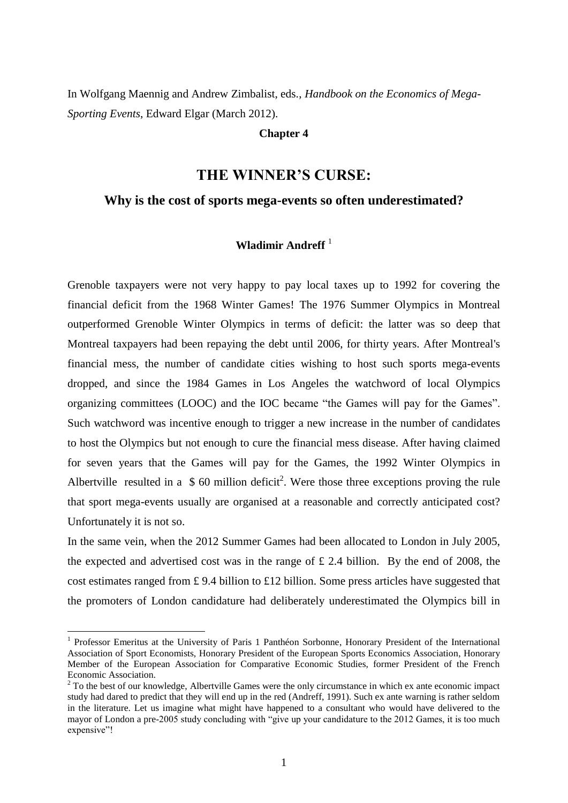In Wolfgang Maennig and Andrew Zimbalist, eds., *Handbook on the Economics of Mega-Sporting Events*, Edward Elgar (March 2012).

## **Chapter 4**

## **THE WINNER'S CURSE:**

## **Why is the cost of sports mega-events so often underestimated?**

## **Wladimir Andreff** <sup>1</sup>

Grenoble taxpayers were not very happy to pay local taxes up to 1992 for covering the financial deficit from the 1968 Winter Games! The 1976 Summer Olympics in Montreal outperformed Grenoble Winter Olympics in terms of deficit: the latter was so deep that Montreal taxpayers had been repaying the debt until 2006, for thirty years. After Montreal's financial mess, the number of candidate cities wishing to host such sports mega-events dropped, and since the 1984 Games in Los Angeles the watchword of local Olympics organizing committees (LOOC) and the IOC became "the Games will pay for the Games". Such watchword was incentive enough to trigger a new increase in the number of candidates to host the Olympics but not enough to cure the financial mess disease. After having claimed for seven years that the Games will pay for the Games, the 1992 Winter Olympics in Albertville resulted in a  $$60$  million deficit<sup>2</sup>. Were those three exceptions proving the rule that sport mega-events usually are organised at a reasonable and correctly anticipated cost? Unfortunately it is not so.

In the same vein, when the 2012 Summer Games had been allocated to London in July 2005, the expected and advertised cost was in the range of £ 2.4 billion. By the end of 2008, the cost estimates ranged from £9.4 billion to £12 billion. Some press articles have suggested that the promoters of London candidature had deliberately underestimated the Olympics bill in

<sup>1</sup> Professor Emeritus at the University of Paris 1 Panthéon Sorbonne, Honorary President of the International Association of Sport Economists, Honorary President of the European Sports Economics Association, Honorary Member of the European Association for Comparative Economic Studies, former President of the French Economic Association.

<sup>&</sup>lt;sup>2</sup> To the best of our knowledge, Albertville Games were the only circumstance in which ex ante economic impact study had dared to predict that they will end up in the red (Andreff, 1991). Such ex ante warning is rather seldom in the literature. Let us imagine what might have happened to a consultant who would have delivered to the mayor of London a pre-2005 study concluding with "give up your candidature to the 2012 Games, it is too much expensive"!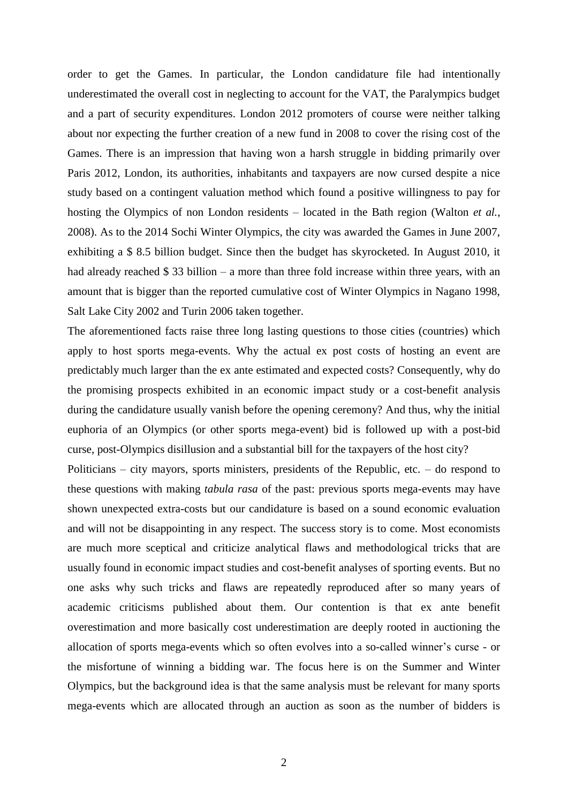order to get the Games. In particular, the London candidature file had intentionally underestimated the overall cost in neglecting to account for the VAT, the Paralympics budget and a part of security expenditures. London 2012 promoters of course were neither talking about nor expecting the further creation of a new fund in 2008 to cover the rising cost of the Games. There is an impression that having won a harsh struggle in bidding primarily over Paris 2012, London, its authorities, inhabitants and taxpayers are now cursed despite a nice study based on a contingent valuation method which found a positive willingness to pay for hosting the Olympics of non London residents – located in the Bath region (Walton *et al.*, 2008). As to the 2014 Sochi Winter Olympics, the city was awarded the Games in June 2007, exhibiting a \$ 8.5 billion budget. Since then the budget has skyrocketed. In August 2010, it had already reached \$ 33 billion – a more than three fold increase within three years, with an amount that is bigger than the reported cumulative cost of Winter Olympics in Nagano 1998, Salt Lake City 2002 and Turin 2006 taken together.

The aforementioned facts raise three long lasting questions to those cities (countries) which apply to host sports mega-events. Why the actual ex post costs of hosting an event are predictably much larger than the ex ante estimated and expected costs? Consequently, why do the promising prospects exhibited in an economic impact study or a cost-benefit analysis during the candidature usually vanish before the opening ceremony? And thus, why the initial euphoria of an Olympics (or other sports mega-event) bid is followed up with a post-bid curse, post-Olympics disillusion and a substantial bill for the taxpayers of the host city?

Politicians – city mayors, sports ministers, presidents of the Republic, etc. – do respond to these questions with making *tabula rasa* of the past: previous sports mega-events may have shown unexpected extra-costs but our candidature is based on a sound economic evaluation and will not be disappointing in any respect. The success story is to come. Most economists are much more sceptical and criticize analytical flaws and methodological tricks that are usually found in economic impact studies and cost-benefit analyses of sporting events. But no one asks why such tricks and flaws are repeatedly reproduced after so many years of academic criticisms published about them. Our contention is that ex ante benefit overestimation and more basically cost underestimation are deeply rooted in auctioning the allocation of sports mega-events which so often evolves into a so-called winner"s curse - or the misfortune of winning a bidding war. The focus here is on the Summer and Winter Olympics, but the background idea is that the same analysis must be relevant for many sports mega-events which are allocated through an auction as soon as the number of bidders is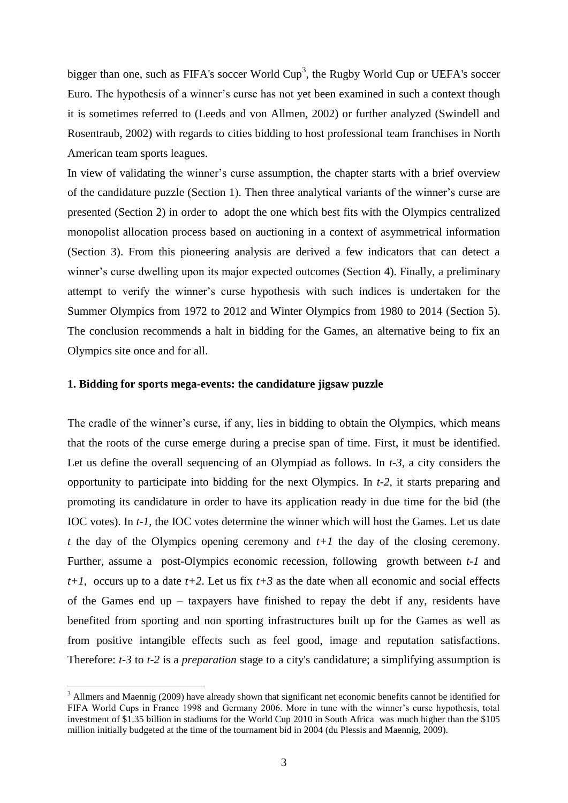bigger than one, such as FIFA's soccer World  $Cup<sup>3</sup>$ , the Rugby World Cup or UEFA's soccer Euro. The hypothesis of a winner"s curse has not yet been examined in such a context though it is sometimes referred to (Leeds and von Allmen, 2002) or further analyzed (Swindell and Rosentraub, 2002) with regards to cities bidding to host professional team franchises in North American team sports leagues.

In view of validating the winner"s curse assumption, the chapter starts with a brief overview of the candidature puzzle (Section 1). Then three analytical variants of the winner"s curse are presented (Section 2) in order to adopt the one which best fits with the Olympics centralized monopolist allocation process based on auctioning in a context of asymmetrical information (Section 3). From this pioneering analysis are derived a few indicators that can detect a winner's curse dwelling upon its major expected outcomes (Section 4). Finally, a preliminary attempt to verify the winner"s curse hypothesis with such indices is undertaken for the Summer Olympics from 1972 to 2012 and Winter Olympics from 1980 to 2014 (Section 5). The conclusion recommends a halt in bidding for the Games, an alternative being to fix an Olympics site once and for all.

## **1. Bidding for sports mega-events: the candidature jigsaw puzzle**

1

The cradle of the winner's curse, if any, lies in bidding to obtain the Olympics, which means that the roots of the curse emerge during a precise span of time. First, it must be identified. Let us define the overall sequencing of an Olympiad as follows. In *t-3*, a city considers the opportunity to participate into bidding for the next Olympics. In *t-2*, it starts preparing and promoting its candidature in order to have its application ready in due time for the bid (the IOC votes). In *t-1*, the IOC votes determine the winner which will host the Games. Let us date *t* the day of the Olympics opening ceremony and *t+1* the day of the closing ceremony. Further, assume a post-Olympics economic recession, following growth between *t-1* and  $t+1$ , occurs up to a date  $t+2$ . Let us fix  $t+3$  as the date when all economic and social effects of the Games end up – taxpayers have finished to repay the debt if any, residents have benefited from sporting and non sporting infrastructures built up for the Games as well as from positive intangible effects such as feel good, image and reputation satisfactions. Therefore: *t-3* to *t-2* is a *preparation* stage to a city's candidature; a simplifying assumption is

<sup>&</sup>lt;sup>3</sup> Allmers and Maennig (2009) have already shown that significant net economic benefits cannot be identified for FIFA World Cups in France 1998 and Germany 2006. More in tune with the winner"s curse hypothesis, total investment of \$1.35 billion in stadiums for the World Cup 2010 in South Africa was much higher than the \$105 million initially budgeted at the time of the tournament bid in 2004 (du Plessis and Maennig, 2009).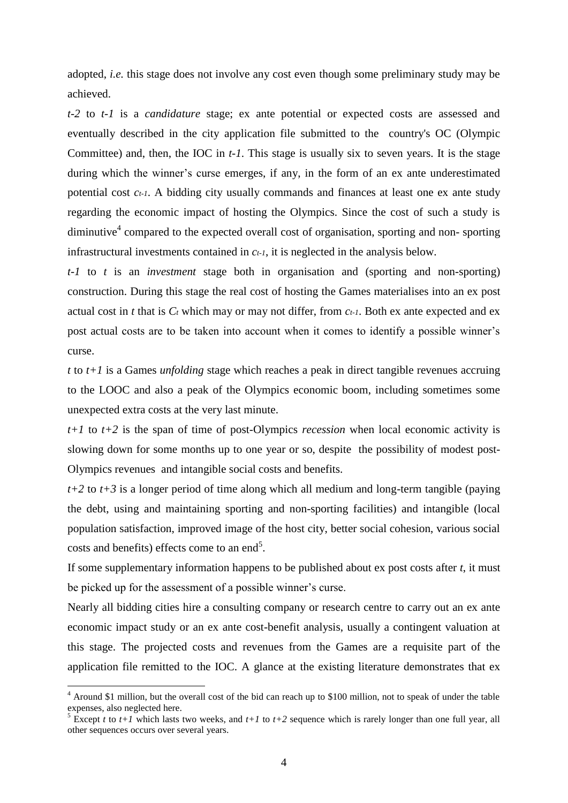adopted, *i.e.* this stage does not involve any cost even though some preliminary study may be achieved.

*t-2* to *t-1* is a *candidature* stage; ex ante potential or expected costs are assessed and eventually described in the city application file submitted to the country's OC (Olympic Committee) and, then, the IOC in *t-1*. This stage is usually six to seven years. It is the stage during which the winner"s curse emerges, if any, in the form of an ex ante underestimated potential cost *ct-1*. A bidding city usually commands and finances at least one ex ante study regarding the economic impact of hosting the Olympics. Since the cost of such a study is diminutive<sup>4</sup> compared to the expected overall cost of organisation, sporting and non-sporting infrastructural investments contained in *ct-1*, it is neglected in the analysis below.

*t-1* to *t* is an *investment* stage both in organisation and (sporting and non-sporting) construction. During this stage the real cost of hosting the Games materialises into an ex post actual cost in *t* that is *C<sup>t</sup>* which may or may not differ, from *ct-1*. Both ex ante expected and ex post actual costs are to be taken into account when it comes to identify a possible winner"s curse.

*t* to *t+1* is a Games *unfolding* stage which reaches a peak in direct tangible revenues accruing to the LOOC and also a peak of the Olympics economic boom, including sometimes some unexpected extra costs at the very last minute.

*t+1* to *t+2* is the span of time of post-Olympics *recession* when local economic activity is slowing down for some months up to one year or so, despite the possibility of modest post-Olympics revenues and intangible social costs and benefits.

*t+2* to *t+3* is a longer period of time along which all medium and long-term tangible (paying the debt, using and maintaining sporting and non-sporting facilities) and intangible (local population satisfaction, improved image of the host city, better social cohesion, various social costs and benefits) effects come to an end<sup>5</sup>.

If some supplementary information happens to be published about ex post costs after *t*, it must be picked up for the assessment of a possible winner"s curse.

Nearly all bidding cities hire a consulting company or research centre to carry out an ex ante economic impact study or an ex ante cost-benefit analysis, usually a contingent valuation at this stage. The projected costs and revenues from the Games are a requisite part of the application file remitted to the IOC. A glance at the existing literature demonstrates that ex

<sup>4</sup> Around \$1 million, but the overall cost of the bid can reach up to \$100 million, not to speak of under the table expenses, also neglected here.

<sup>&</sup>lt;sup>5</sup> Except *t* to *t*+1 which lasts two weeks, and *t*+1 to *t*+2 sequence which is rarely longer than one full year, all other sequences occurs over several years.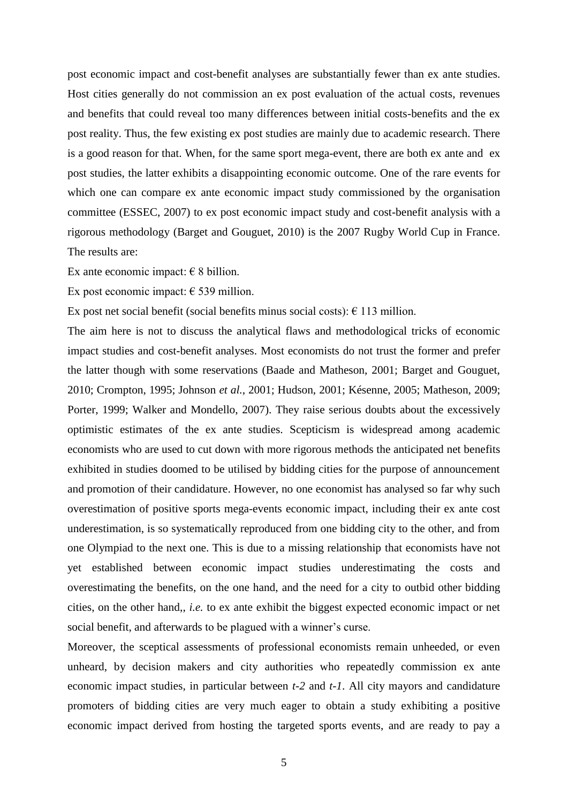post economic impact and cost-benefit analyses are substantially fewer than ex ante studies. Host cities generally do not commission an ex post evaluation of the actual costs, revenues and benefits that could reveal too many differences between initial costs-benefits and the ex post reality. Thus, the few existing ex post studies are mainly due to academic research. There is a good reason for that. When, for the same sport mega-event, there are both ex ante and ex post studies, the latter exhibits a disappointing economic outcome. One of the rare events for which one can compare ex ante economic impact study commissioned by the organisation committee (ESSEC, 2007) to ex post economic impact study and cost-benefit analysis with a rigorous methodology (Barget and Gouguet, 2010) is the 2007 Rugby World Cup in France. The results are:

Ex ante economic impact:  $\in$  8 billion.

Ex post economic impact:  $\epsilon$  539 million.

Ex post net social benefit (social benefits minus social costs):  $\epsilon$  113 million.

The aim here is not to discuss the analytical flaws and methodological tricks of economic impact studies and cost-benefit analyses. Most economists do not trust the former and prefer the latter though with some reservations (Baade and Matheson, 2001; Barget and Gouguet, 2010; Crompton, 1995; Johnson *et al.*, 2001; Hudson, 2001; Késenne, 2005; Matheson, 2009; Porter, 1999; Walker and Mondello, 2007). They raise serious doubts about the excessively optimistic estimates of the ex ante studies. Scepticism is widespread among academic economists who are used to cut down with more rigorous methods the anticipated net benefits exhibited in studies doomed to be utilised by bidding cities for the purpose of announcement and promotion of their candidature. However, no one economist has analysed so far why such overestimation of positive sports mega-events economic impact, including their ex ante cost underestimation, is so systematically reproduced from one bidding city to the other, and from one Olympiad to the next one. This is due to a missing relationship that economists have not yet established between economic impact studies underestimating the costs and overestimating the benefits, on the one hand, and the need for a city to outbid other bidding cities, on the other hand,, *i.e.* to ex ante exhibit the biggest expected economic impact or net social benefit, and afterwards to be plagued with a winner's curse.

Moreover, the sceptical assessments of professional economists remain unheeded, or even unheard, by decision makers and city authorities who repeatedly commission ex ante economic impact studies, in particular between *t-2* and *t-1*. All city mayors and candidature promoters of bidding cities are very much eager to obtain a study exhibiting a positive economic impact derived from hosting the targeted sports events, and are ready to pay a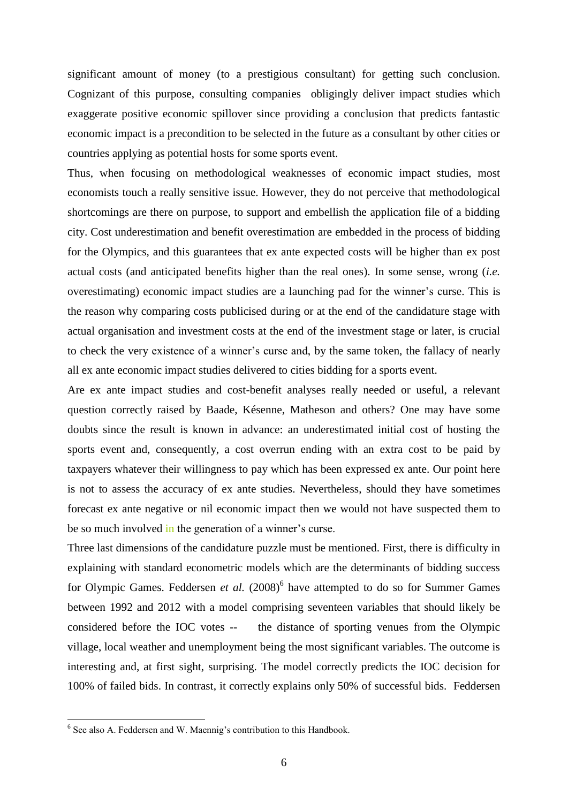significant amount of money (to a prestigious consultant) for getting such conclusion. Cognizant of this purpose, consulting companies obligingly deliver impact studies which exaggerate positive economic spillover since providing a conclusion that predicts fantastic economic impact is a precondition to be selected in the future as a consultant by other cities or countries applying as potential hosts for some sports event.

Thus, when focusing on methodological weaknesses of economic impact studies, most economists touch a really sensitive issue. However, they do not perceive that methodological shortcomings are there on purpose, to support and embellish the application file of a bidding city. Cost underestimation and benefit overestimation are embedded in the process of bidding for the Olympics, and this guarantees that ex ante expected costs will be higher than ex post actual costs (and anticipated benefits higher than the real ones). In some sense, wrong (*i.e.*  overestimating) economic impact studies are a launching pad for the winner"s curse. This is the reason why comparing costs publicised during or at the end of the candidature stage with actual organisation and investment costs at the end of the investment stage or later, is crucial to check the very existence of a winner"s curse and, by the same token, the fallacy of nearly all ex ante economic impact studies delivered to cities bidding for a sports event.

Are ex ante impact studies and cost-benefit analyses really needed or useful, a relevant question correctly raised by Baade, Késenne, Matheson and others? One may have some doubts since the result is known in advance: an underestimated initial cost of hosting the sports event and, consequently, a cost overrun ending with an extra cost to be paid by taxpayers whatever their willingness to pay which has been expressed ex ante. Our point here is not to assess the accuracy of ex ante studies. Nevertheless, should they have sometimes forecast ex ante negative or nil economic impact then we would not have suspected them to be so much involved in the generation of a winner's curse.

Three last dimensions of the candidature puzzle must be mentioned. First, there is difficulty in explaining with standard econometric models which are the determinants of bidding success for Olympic Games. Feddersen *et al.* (2008)<sup>6</sup> have attempted to do so for Summer Games between 1992 and 2012 with a model comprising seventeen variables that should likely be considered before the IOC votes -- the distance of sporting venues from the Olympic village, local weather and unemployment being the most significant variables. The outcome is interesting and, at first sight, surprising. The model correctly predicts the IOC decision for 100% of failed bids. In contrast, it correctly explains only 50% of successful bids. Feddersen

 $6$  See also A. Feddersen and W. Maennig's contribution to this Handbook.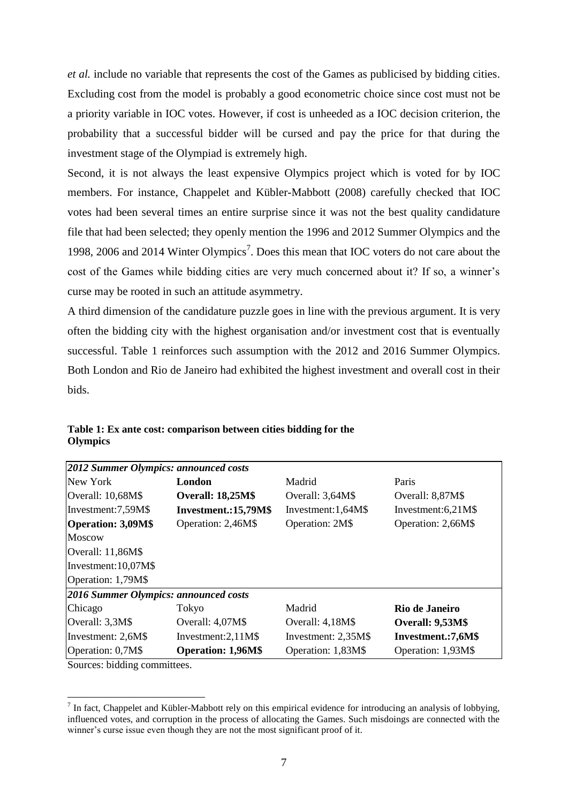*et al.* include no variable that represents the cost of the Games as publicised by bidding cities. Excluding cost from the model is probably a good econometric choice since cost must not be a priority variable in IOC votes. However, if cost is unheeded as a IOC decision criterion, the probability that a successful bidder will be cursed and pay the price for that during the investment stage of the Olympiad is extremely high.

Second, it is not always the least expensive Olympics project which is voted for by IOC members. For instance, Chappelet and Kübler-Mabbott (2008) carefully checked that IOC votes had been several times an entire surprise since it was not the best quality candidature file that had been selected; they openly mention the 1996 and 2012 Summer Olympics and the 1998, 2006 and 2014 Winter Olympics<sup>7</sup>. Does this mean that IOC voters do not care about the cost of the Games while bidding cities are very much concerned about it? If so, a winner's curse may be rooted in such an attitude asymmetry.

A third dimension of the candidature puzzle goes in line with the previous argument. It is very often the bidding city with the highest organisation and/or investment cost that is eventually successful. Table 1 reinforces such assumption with the 2012 and 2016 Summer Olympics. Both London and Rio de Janeiro had exhibited the highest investment and overall cost in their bids.

| 2012 Summer Olympics: announced costs      |                                              |                                      |                      |  |  |  |
|--------------------------------------------|----------------------------------------------|--------------------------------------|----------------------|--|--|--|
| New York<br>London                         |                                              | Madrid                               | Paris                |  |  |  |
| Overall: 10,68M\$                          | <b>Overall: 18,25M\$</b>                     |                                      | Overall: 8,87M\$     |  |  |  |
| Investment.:15,79M\$<br>Investment:7,59M\$ |                                              | Investment: 1,64M\$                  | Investment: $6,21M\$ |  |  |  |
| Operation: 3,09M\$                         | Operation: 2,46M\$<br><b>Operation: 2M\$</b> |                                      | Operation: 2,66M\$   |  |  |  |
| <b>Moscow</b>                              |                                              |                                      |                      |  |  |  |
| Overall: $11,86M\$                         |                                              |                                      |                      |  |  |  |
| Investment: 10,07M\$                       |                                              |                                      |                      |  |  |  |
| Operation: 1,79M\$                         |                                              |                                      |                      |  |  |  |
| 2016 Summer Olympics: announced costs      |                                              |                                      |                      |  |  |  |
| Chicago                                    | Tokyo                                        | Madrid                               | Rio de Janeiro       |  |  |  |
| Overall: 3,3M\$                            | Overall: 4,07M\$                             | Overall: 4,18M\$<br>Overall: 9,53M\$ |                      |  |  |  |
| Investment: 2,6M\$                         | Investment: $2,11M\$                         | Investment: 2,35M\$                  | Investment.:7,6M\$   |  |  |  |
| Operation: 0,7M\$                          | <b>Operation: 1,96M\$</b>                    | Operation: 1,83M\$                   | Operation: 1,93M\$   |  |  |  |

**Table 1: Ex ante cost: comparison between cities bidding for the Olympics**

Sources: bidding committees.

 $<sup>7</sup>$  In fact, Chappelet and Kübler-Mabbott rely on this empirical evidence for introducing an analysis of lobbying,</sup> influenced votes, and corruption in the process of allocating the Games. Such misdoings are connected with the winner's curse issue even though they are not the most significant proof of it.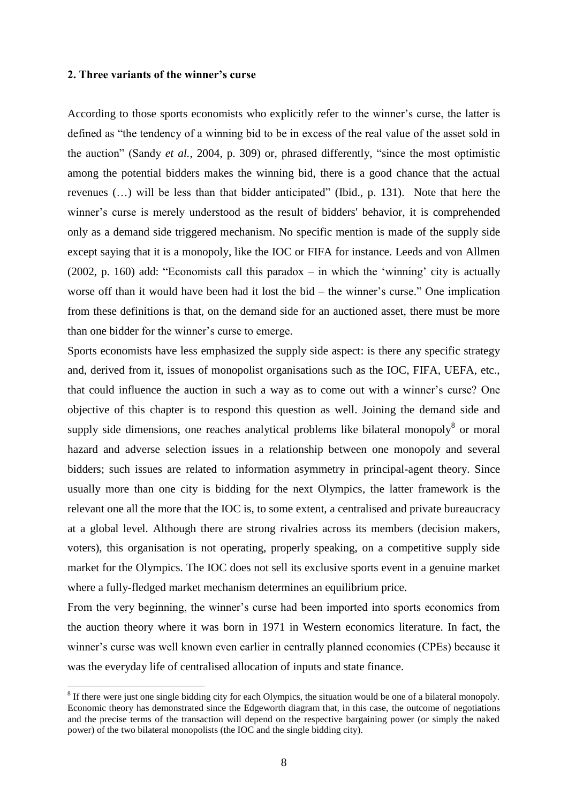## **2. Three variants of the winner's curse**

1

According to those sports economists who explicitly refer to the winner"s curse, the latter is defined as "the tendency of a winning bid to be in excess of the real value of the asset sold in the auction" (Sandy *et al.*, 2004, p. 309) or, phrased differently, "since the most optimistic among the potential bidders makes the winning bid, there is a good chance that the actual revenues (…) will be less than that bidder anticipated" (Ibid., p. 131). Note that here the winner's curse is merely understood as the result of bidders' behavior, it is comprehended only as a demand side triggered mechanism. No specific mention is made of the supply side except saying that it is a monopoly, like the IOC or FIFA for instance. Leeds and von Allmen (2002, p. 160) add: "Economists call this paradox – in which the "winning" city is actually worse off than it would have been had it lost the bid – the winner's curse." One implication from these definitions is that, on the demand side for an auctioned asset, there must be more than one bidder for the winner"s curse to emerge.

Sports economists have less emphasized the supply side aspect: is there any specific strategy and, derived from it, issues of monopolist organisations such as the IOC, FIFA, UEFA, etc., that could influence the auction in such a way as to come out with a winner"s curse? One objective of this chapter is to respond this question as well. Joining the demand side and supply side dimensions, one reaches analytical problems like bilateral monopoly $8$  or moral hazard and adverse selection issues in a relationship between one monopoly and several bidders; such issues are related to information asymmetry in principal-agent theory. Since usually more than one city is bidding for the next Olympics, the latter framework is the relevant one all the more that the IOC is, to some extent, a centralised and private bureaucracy at a global level. Although there are strong rivalries across its members (decision makers, voters), this organisation is not operating, properly speaking, on a competitive supply side market for the Olympics. The IOC does not sell its exclusive sports event in a genuine market where a fully-fledged market mechanism determines an equilibrium price.

From the very beginning, the winner"s curse had been imported into sports economics from the auction theory where it was born in 1971 in Western economics literature. In fact, the winner's curse was well known even earlier in centrally planned economies (CPEs) because it was the everyday life of centralised allocation of inputs and state finance.

 $8$  If there were just one single bidding city for each Olympics, the situation would be one of a bilateral monopoly. Economic theory has demonstrated since the Edgeworth diagram that, in this case, the outcome of negotiations and the precise terms of the transaction will depend on the respective bargaining power (or simply the naked power) of the two bilateral monopolists (the IOC and the single bidding city).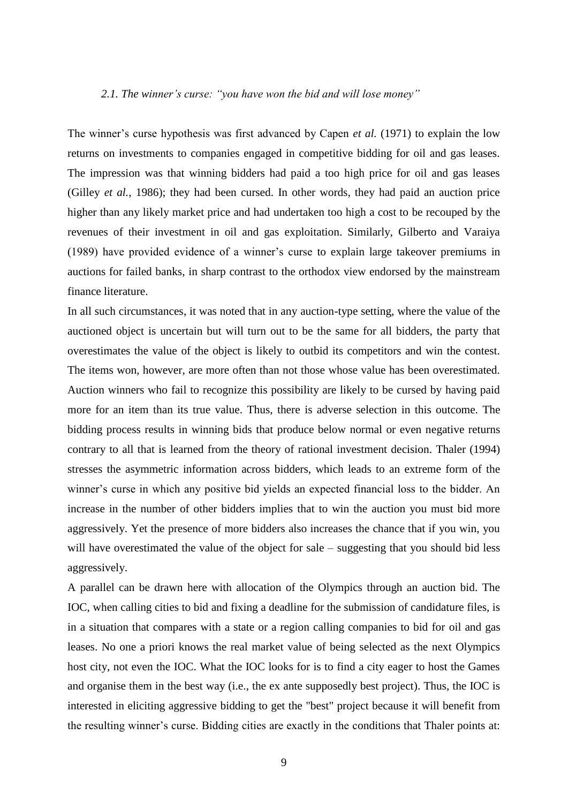#### *2.1. The winner"s curse: "you have won the bid and will lose money"*

The winner's curse hypothesis was first advanced by Capen *et al.* (1971) to explain the low returns on investments to companies engaged in competitive bidding for oil and gas leases. The impression was that winning bidders had paid a too high price for oil and gas leases (Gilley *et al.*, 1986); they had been cursed. In other words, they had paid an auction price higher than any likely market price and had undertaken too high a cost to be recouped by the revenues of their investment in oil and gas exploitation. Similarly, Gilberto and Varaiya (1989) have provided evidence of a winner"s curse to explain large takeover premiums in auctions for failed banks, in sharp contrast to the orthodox view endorsed by the mainstream finance literature.

In all such circumstances, it was noted that in any auction-type setting, where the value of the auctioned object is uncertain but will turn out to be the same for all bidders, the party that overestimates the value of the object is likely to outbid its competitors and win the contest. The items won, however, are more often than not those whose value has been overestimated. Auction winners who fail to recognize this possibility are likely to be cursed by having paid more for an item than its true value. Thus, there is adverse selection in this outcome. The bidding process results in winning bids that produce below normal or even negative returns contrary to all that is learned from the theory of rational investment decision. Thaler (1994) stresses the asymmetric information across bidders, which leads to an extreme form of the winner's curse in which any positive bid yields an expected financial loss to the bidder. An increase in the number of other bidders implies that to win the auction you must bid more aggressively. Yet the presence of more bidders also increases the chance that if you win, you will have overestimated the value of the object for sale – suggesting that you should bid less aggressively.

A parallel can be drawn here with allocation of the Olympics through an auction bid. The IOC, when calling cities to bid and fixing a deadline for the submission of candidature files, is in a situation that compares with a state or a region calling companies to bid for oil and gas leases. No one a priori knows the real market value of being selected as the next Olympics host city, not even the IOC. What the IOC looks for is to find a city eager to host the Games and organise them in the best way (i.e., the ex ante supposedly best project). Thus, the IOC is interested in eliciting aggressive bidding to get the "best" project because it will benefit from the resulting winner"s curse. Bidding cities are exactly in the conditions that Thaler points at: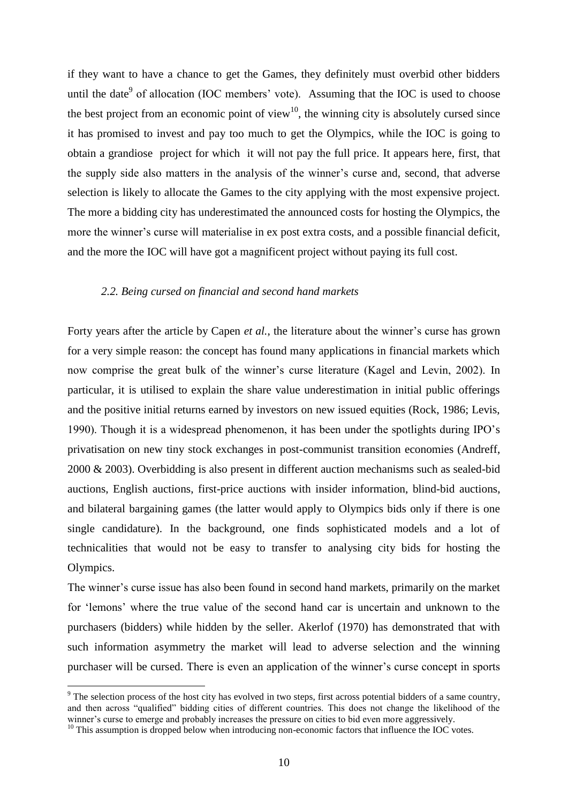if they want to have a chance to get the Games, they definitely must overbid other bidders until the date<sup>9</sup> of allocation (IOC members' vote). Assuming that the IOC is used to choose the best project from an economic point of view<sup>10</sup>, the winning city is absolutely cursed since it has promised to invest and pay too much to get the Olympics, while the IOC is going to obtain a grandiose project for which it will not pay the full price. It appears here, first, that the supply side also matters in the analysis of the winner"s curse and, second, that adverse selection is likely to allocate the Games to the city applying with the most expensive project. The more a bidding city has underestimated the announced costs for hosting the Olympics, the more the winner's curse will materialise in ex post extra costs, and a possible financial deficit, and the more the IOC will have got a magnificent project without paying its full cost.

#### *2.2. Being cursed on financial and second hand markets*

Forty years after the article by Capen *et al.*, the literature about the winner's curse has grown for a very simple reason: the concept has found many applications in financial markets which now comprise the great bulk of the winner's curse literature (Kagel and Levin, 2002). In particular, it is utilised to explain the share value underestimation in initial public offerings and the positive initial returns earned by investors on new issued equities (Rock, 1986; Levis, 1990). Though it is a widespread phenomenon, it has been under the spotlights during IPO"s privatisation on new tiny stock exchanges in post-communist transition economies (Andreff, 2000 & 2003). Overbidding is also present in different auction mechanisms such as sealed-bid auctions, English auctions, first-price auctions with insider information, blind-bid auctions, and bilateral bargaining games (the latter would apply to Olympics bids only if there is one single candidature). In the background, one finds sophisticated models and a lot of technicalities that would not be easy to transfer to analysing city bids for hosting the Olympics.

The winner"s curse issue has also been found in second hand markets, primarily on the market for "lemons" where the true value of the second hand car is uncertain and unknown to the purchasers (bidders) while hidden by the seller. Akerlof (1970) has demonstrated that with such information asymmetry the market will lead to adverse selection and the winning purchaser will be cursed. There is even an application of the winner"s curse concept in sports

<sup>&</sup>lt;sup>9</sup> The selection process of the host city has evolved in two steps, first across potential bidders of a same country, and then across "qualified" bidding cities of different countries. This does not change the likelihood of the winner's curse to emerge and probably increases the pressure on cities to bid even more aggressively.

<sup>&</sup>lt;sup>10</sup> This assumption is dropped below when introducing non-economic factors that influence the IOC votes.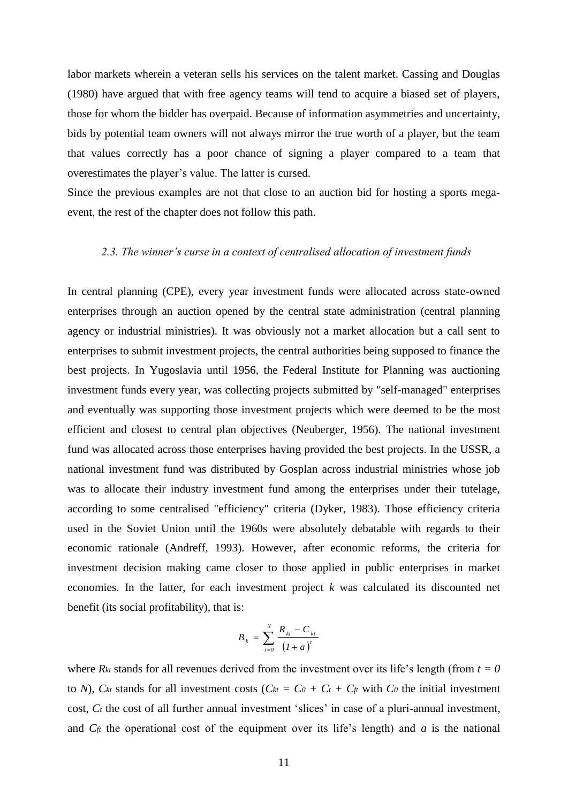labor markets wherein a veteran sells his services on the talent market. Cassing and Douglas (1980) have argued that with free agency teams will tend to acquire a biased set of players, those for whom the bidder has overpaid. Because of information asymmetries and uncertainty, bids by potential team owners will not always mirror the true worth of a player, but the team that values correctly has a poor chance of signing a player compared to a team that overestimates the player"s value. The latter is cursed.

Since the previous examples are not that close to an auction bid for hosting a sports megaevent, the rest of the chapter does not follow this path.

## *2.3. The winner"s curse in a context of centralised allocation of investment funds*

In central planning (CPE), every year investment funds were allocated across state-owned enterprises through an auction opened by the central state administration (central planning agency or industrial ministries). It was obviously not a market allocation but a call sent to enterprises to submit investment projects, the central authorities being supposed to finance the best projects. In Yugoslavia until 1956, the Federal Institute for Planning was auctioning investment funds every year, was collecting projects submitted by "self-managed" enterprises and eventually was supporting those investment projects which were deemed to be the most efficient and closest to central plan objectives (Neuberger, 1956). The national investment fund was allocated across those enterprises having provided the best projects. In the USSR, a national investment fund was distributed by Gosplan across industrial ministries whose job was to allocate their industry investment fund among the enterprises under their tutelage, according to some centralised "efficiency" criteria (Dyker, 1983). Those efficiency criteria used in the Soviet Union until the 1960s were absolutely debatable with regards to their economic rationale (Andreff, 1993). However, after economic reforms, the criteria for investment decision making came closer to those applied in public enterprises in market economies. In the latter, for each investment project *k* was calculated its discounted net benefit (its social profitability), that is:

$$
B_{k} = \sum_{t=0}^{N} \frac{R_{kt} - C_{kt}}{(1+a)^{t}}
$$

where  $R_{kt}$  stands for all revenues derived from the investment over its life's length (from  $t = 0$ ) to *N*),  $C_{kt}$  stands for all investment costs ( $C_{kt} = C_0 + C_t + C_f$  with  $C_0$  the initial investment cost,  $C_t$  the cost of all further annual investment 'slices' in case of a pluri-annual investment, and  $C_f$  the operational cost of the equipment over its life's length) and *a* is the national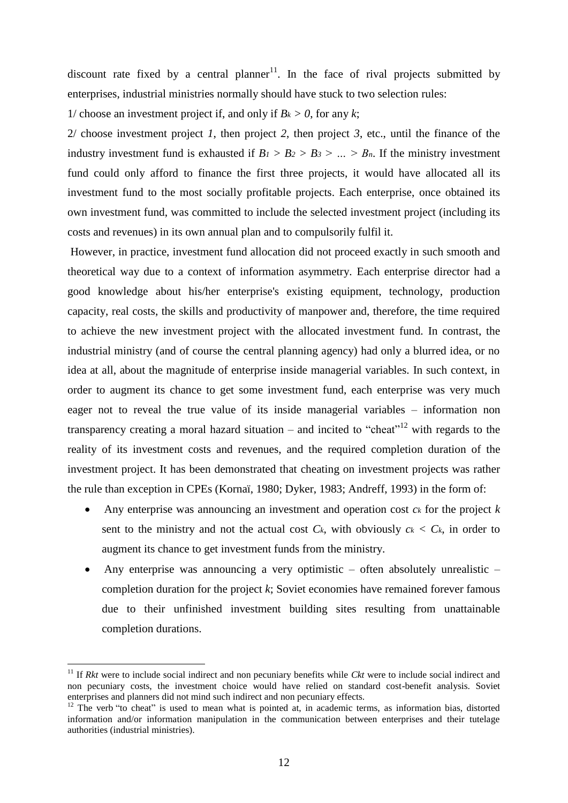discount rate fixed by a central planner<sup>11</sup>. In the face of rival projects submitted by enterprises, industrial ministries normally should have stuck to two selection rules:

1/ choose an investment project if, and only if  $B_k > 0$ , for any *k*;

2/ choose investment project *1*, then project *2*, then project *3*, etc., until the finance of the industry investment fund is exhausted if  $B_1 > B_2 > B_3 > ... > B_n$ . If the ministry investment fund could only afford to finance the first three projects, it would have allocated all its investment fund to the most socially profitable projects. Each enterprise, once obtained its own investment fund, was committed to include the selected investment project (including its costs and revenues) in its own annual plan and to compulsorily fulfil it.

However, in practice, investment fund allocation did not proceed exactly in such smooth and theoretical way due to a context of information asymmetry. Each enterprise director had a good knowledge about his/her enterprise's existing equipment, technology, production capacity, real costs, the skills and productivity of manpower and, therefore, the time required to achieve the new investment project with the allocated investment fund. In contrast, the industrial ministry (and of course the central planning agency) had only a blurred idea, or no idea at all, about the magnitude of enterprise inside managerial variables. In such context, in order to augment its chance to get some investment fund, each enterprise was very much eager not to reveal the true value of its inside managerial variables – information non transparency creating a moral hazard situation – and incited to "cheat"<sup>12</sup> with regards to the reality of its investment costs and revenues, and the required completion duration of the investment project. It has been demonstrated that cheating on investment projects was rather the rule than exception in CPEs (Kornaï, 1980; Dyker, 1983; Andreff, 1993) in the form of:

- Any enterprise was announcing an investment and operation cost *c<sup>k</sup>* for the project *k*  sent to the ministry and not the actual cost  $C_k$ , with obviously  $c_k < C_k$ , in order to augment its chance to get investment funds from the ministry.
- Any enterprise was announcing a very optimistic often absolutely unrealistic completion duration for the project *k*; Soviet economies have remained forever famous due to their unfinished investment building sites resulting from unattainable completion durations.

<u>.</u>

<sup>&</sup>lt;sup>11</sup> If *Rkt* were to include social indirect and non pecuniary benefits while *Ckt* were to include social indirect and non pecuniary costs, the investment choice would have relied on standard cost-benefit analysis. Soviet enterprises and planners did not mind such indirect and non pecuniary effects.

 $12$  The verb "to cheat" is used to mean what is pointed at, in academic terms, as information bias, distorted information and/or information manipulation in the communication between enterprises and their tutelage authorities (industrial ministries).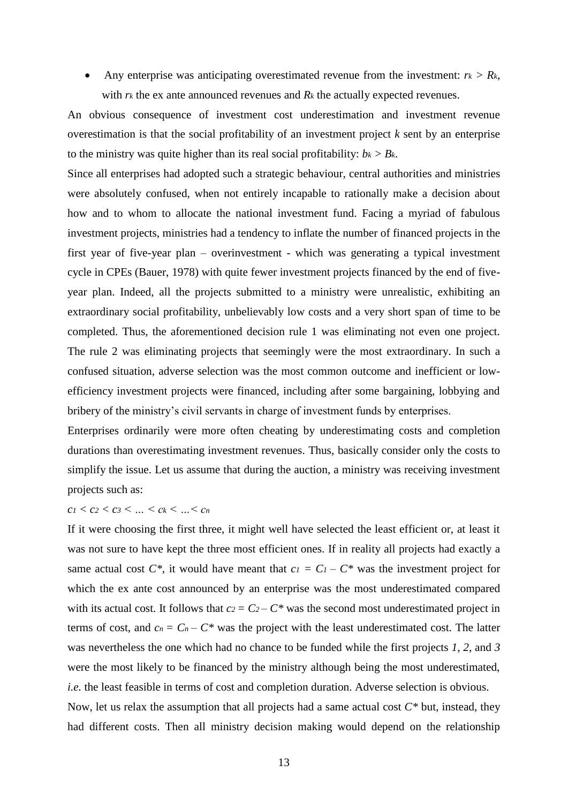• Any enterprise was anticipating overestimated revenue from the investment:  $r_k > R_k$ , with  $rk$  the ex ante announced revenues and  $R_k$  the actually expected revenues.

An obvious consequence of investment cost underestimation and investment revenue overestimation is that the social profitability of an investment project *k* sent by an enterprise to the ministry was quite higher than its real social profitability:  $b_k > B_k$ .

Since all enterprises had adopted such a strategic behaviour, central authorities and ministries were absolutely confused, when not entirely incapable to rationally make a decision about how and to whom to allocate the national investment fund. Facing a myriad of fabulous investment projects, ministries had a tendency to inflate the number of financed projects in the first year of five-year plan – overinvestment - which was generating a typical investment cycle in CPEs (Bauer, 1978) with quite fewer investment projects financed by the end of fiveyear plan. Indeed, all the projects submitted to a ministry were unrealistic, exhibiting an extraordinary social profitability, unbelievably low costs and a very short span of time to be completed. Thus, the aforementioned decision rule 1 was eliminating not even one project. The rule 2 was eliminating projects that seemingly were the most extraordinary. In such a confused situation, adverse selection was the most common outcome and inefficient or lowefficiency investment projects were financed, including after some bargaining, lobbying and bribery of the ministry's civil servants in charge of investment funds by enterprises.

Enterprises ordinarily were more often cheating by underestimating costs and completion durations than overestimating investment revenues. Thus, basically consider only the costs to simplify the issue. Let us assume that during the auction, a ministry was receiving investment projects such as:

## $c_1 < c_2 < c_3 < ... < c_k < ... < c_n$

If it were choosing the first three, it might well have selected the least efficient or, at least it was not sure to have kept the three most efficient ones. If in reality all projects had exactly a same actual cost  $C^*$ , it would have meant that  $cI = CI - C^*$  was the investment project for which the ex ante cost announced by an enterprise was the most underestimated compared with its actual cost. It follows that  $c_2 = C_2 - C^*$  was the second most underestimated project in terms of cost, and  $c_n = C_n - C^*$  was the project with the least underestimated cost. The latter was nevertheless the one which had no chance to be funded while the first projects *1*, *2*, and *3* were the most likely to be financed by the ministry although being the most underestimated, *i.e.* the least feasible in terms of cost and completion duration. Adverse selection is obvious. Now, let us relax the assumption that all projects had a same actual cost *C\** but, instead, they had different costs. Then all ministry decision making would depend on the relationship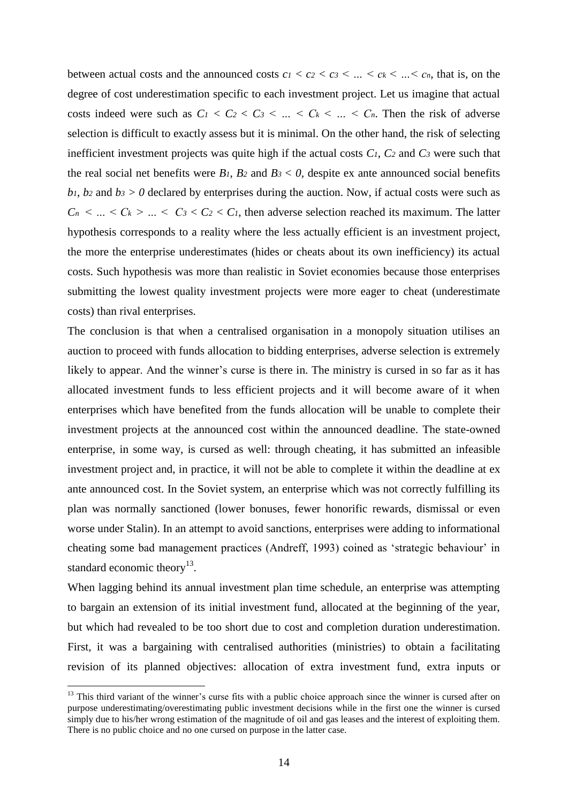between actual costs and the announced costs  $c_1 < c_2 < c_3 < ... < c_k < ... < c_n$ , that is, on the degree of cost underestimation specific to each investment project. Let us imagine that actual costs indeed were such as  $C_1 < C_2 < C_3 < ... < C_k < ... < C_n$ . Then the risk of adverse selection is difficult to exactly assess but it is minimal. On the other hand, the risk of selecting inefficient investment projects was quite high if the actual costs *C1*, *C<sup>2</sup>* and *C<sup>3</sup>* were such that the real social net benefits were  $B_1$ ,  $B_2$  and  $B_3 < 0$ , despite ex ante announced social benefits *b*<sub>1</sub>, *b*<sub>2</sub> and *b*<sub>3</sub>  $>$  *0* declared by enterprises during the auction. Now, if actual costs were such as  $C_n$  < ... <  $C_k$  > ... <  $C_3$  <  $C_2$  <  $C_1$ , then adverse selection reached its maximum. The latter hypothesis corresponds to a reality where the less actually efficient is an investment project, the more the enterprise underestimates (hides or cheats about its own inefficiency) its actual costs. Such hypothesis was more than realistic in Soviet economies because those enterprises submitting the lowest quality investment projects were more eager to cheat (underestimate costs) than rival enterprises.

The conclusion is that when a centralised organisation in a monopoly situation utilises an auction to proceed with funds allocation to bidding enterprises, adverse selection is extremely likely to appear. And the winner's curse is there in. The ministry is cursed in so far as it has allocated investment funds to less efficient projects and it will become aware of it when enterprises which have benefited from the funds allocation will be unable to complete their investment projects at the announced cost within the announced deadline. The state-owned enterprise, in some way, is cursed as well: through cheating, it has submitted an infeasible investment project and, in practice, it will not be able to complete it within the deadline at ex ante announced cost. In the Soviet system, an enterprise which was not correctly fulfilling its plan was normally sanctioned (lower bonuses, fewer honorific rewards, dismissal or even worse under Stalin). In an attempt to avoid sanctions, enterprises were adding to informational cheating some bad management practices (Andreff, 1993) coined as "strategic behaviour" in standard economic theory<sup>13</sup>.

When lagging behind its annual investment plan time schedule, an enterprise was attempting to bargain an extension of its initial investment fund, allocated at the beginning of the year, but which had revealed to be too short due to cost and completion duration underestimation. First, it was a bargaining with centralised authorities (ministries) to obtain a facilitating revision of its planned objectives: allocation of extra investment fund, extra inputs or

 $13$  This third variant of the winner's curse fits with a public choice approach since the winner is cursed after on purpose underestimating/overestimating public investment decisions while in the first one the winner is cursed simply due to his/her wrong estimation of the magnitude of oil and gas leases and the interest of exploiting them. There is no public choice and no one cursed on purpose in the latter case.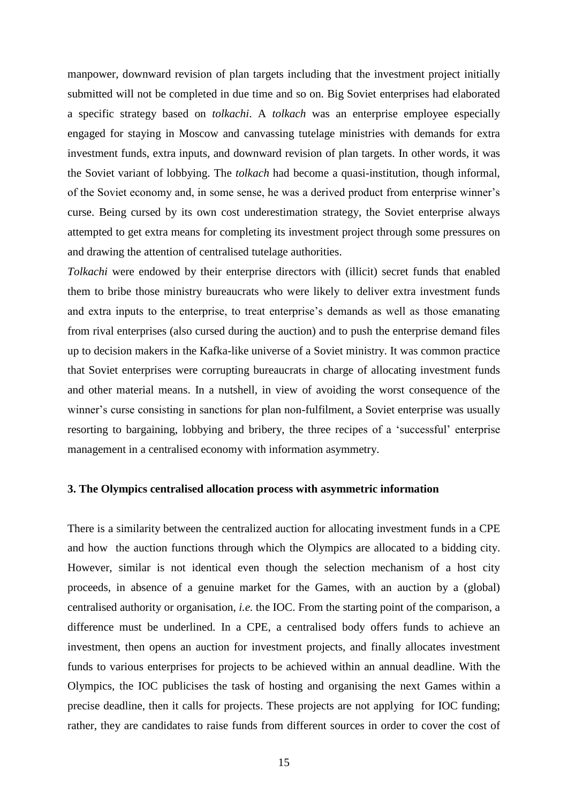manpower, downward revision of plan targets including that the investment project initially submitted will not be completed in due time and so on. Big Soviet enterprises had elaborated a specific strategy based on *tolkachi*. A *tolkach* was an enterprise employee especially engaged for staying in Moscow and canvassing tutelage ministries with demands for extra investment funds, extra inputs, and downward revision of plan targets. In other words, it was the Soviet variant of lobbying. The *tolkach* had become a quasi-institution, though informal, of the Soviet economy and, in some sense, he was a derived product from enterprise winner"s curse. Being cursed by its own cost underestimation strategy, the Soviet enterprise always attempted to get extra means for completing its investment project through some pressures on and drawing the attention of centralised tutelage authorities.

*Tolkachi* were endowed by their enterprise directors with (illicit) secret funds that enabled them to bribe those ministry bureaucrats who were likely to deliver extra investment funds and extra inputs to the enterprise, to treat enterprise's demands as well as those emanating from rival enterprises (also cursed during the auction) and to push the enterprise demand files up to decision makers in the Kafka-like universe of a Soviet ministry. It was common practice that Soviet enterprises were corrupting bureaucrats in charge of allocating investment funds and other material means. In a nutshell, in view of avoiding the worst consequence of the winner's curse consisting in sanctions for plan non-fulfilment, a Soviet enterprise was usually resorting to bargaining, lobbying and bribery, the three recipes of a "successful" enterprise management in a centralised economy with information asymmetry.

## **3. The Olympics centralised allocation process with asymmetric information**

There is a similarity between the centralized auction for allocating investment funds in a CPE and how the auction functions through which the Olympics are allocated to a bidding city. However, similar is not identical even though the selection mechanism of a host city proceeds, in absence of a genuine market for the Games, with an auction by a (global) centralised authority or organisation, *i.e.* the IOC. From the starting point of the comparison, a difference must be underlined. In a CPE, a centralised body offers funds to achieve an investment, then opens an auction for investment projects, and finally allocates investment funds to various enterprises for projects to be achieved within an annual deadline. With the Olympics, the IOC publicises the task of hosting and organising the next Games within a precise deadline, then it calls for projects. These projects are not applying for IOC funding; rather, they are candidates to raise funds from different sources in order to cover the cost of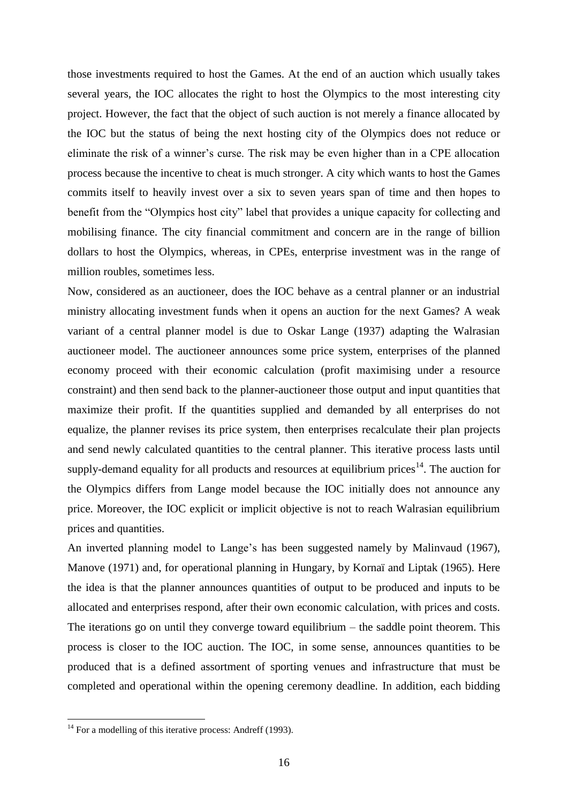those investments required to host the Games. At the end of an auction which usually takes several years, the IOC allocates the right to host the Olympics to the most interesting city project. However, the fact that the object of such auction is not merely a finance allocated by the IOC but the status of being the next hosting city of the Olympics does not reduce or eliminate the risk of a winner"s curse. The risk may be even higher than in a CPE allocation process because the incentive to cheat is much stronger. A city which wants to host the Games commits itself to heavily invest over a six to seven years span of time and then hopes to benefit from the "Olympics host city" label that provides a unique capacity for collecting and mobilising finance. The city financial commitment and concern are in the range of billion dollars to host the Olympics, whereas, in CPEs, enterprise investment was in the range of million roubles, sometimes less.

Now, considered as an auctioneer, does the IOC behave as a central planner or an industrial ministry allocating investment funds when it opens an auction for the next Games? A weak variant of a central planner model is due to Oskar Lange (1937) adapting the Walrasian auctioneer model. The auctioneer announces some price system, enterprises of the planned economy proceed with their economic calculation (profit maximising under a resource constraint) and then send back to the planner-auctioneer those output and input quantities that maximize their profit. If the quantities supplied and demanded by all enterprises do not equalize, the planner revises its price system, then enterprises recalculate their plan projects and send newly calculated quantities to the central planner. This iterative process lasts until supply-demand equality for all products and resources at equilibrium prices<sup>14</sup>. The auction for the Olympics differs from Lange model because the IOC initially does not announce any price. Moreover, the IOC explicit or implicit objective is not to reach Walrasian equilibrium prices and quantities.

An inverted planning model to Lange"s has been suggested namely by Malinvaud (1967), Manove (1971) and, for operational planning in Hungary, by Kornaï and Liptak (1965). Here the idea is that the planner announces quantities of output to be produced and inputs to be allocated and enterprises respond, after their own economic calculation, with prices and costs. The iterations go on until they converge toward equilibrium – the saddle point theorem. This process is closer to the IOC auction. The IOC, in some sense, announces quantities to be produced that is a defined assortment of sporting venues and infrastructure that must be completed and operational within the opening ceremony deadline. In addition, each bidding

 $14$  For a modelling of this iterative process: Andreff (1993).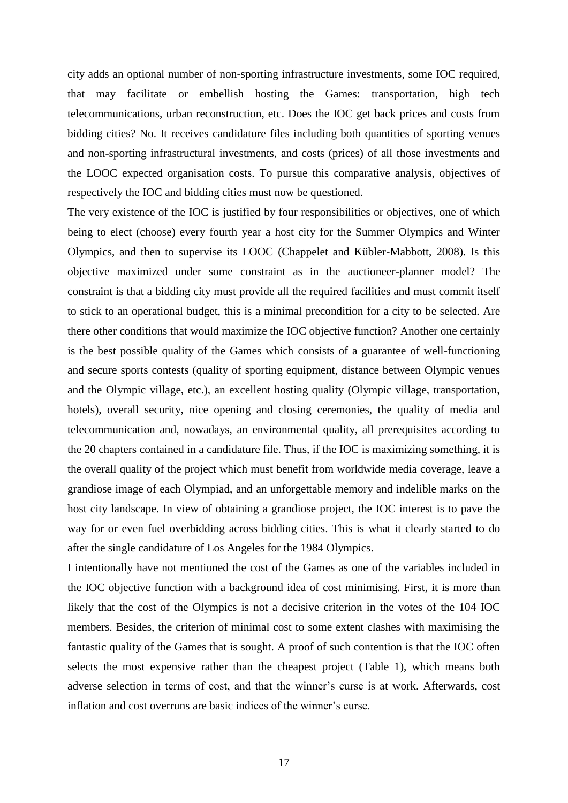city adds an optional number of non-sporting infrastructure investments, some IOC required, that may facilitate or embellish hosting the Games: transportation, high tech telecommunications, urban reconstruction, etc. Does the IOC get back prices and costs from bidding cities? No. It receives candidature files including both quantities of sporting venues and non-sporting infrastructural investments, and costs (prices) of all those investments and the LOOC expected organisation costs. To pursue this comparative analysis, objectives of respectively the IOC and bidding cities must now be questioned.

The very existence of the IOC is justified by four responsibilities or objectives, one of which being to elect (choose) every fourth year a host city for the Summer Olympics and Winter Olympics, and then to supervise its LOOC (Chappelet and Kübler-Mabbott, 2008). Is this objective maximized under some constraint as in the auctioneer-planner model? The constraint is that a bidding city must provide all the required facilities and must commit itself to stick to an operational budget, this is a minimal precondition for a city to be selected. Are there other conditions that would maximize the IOC objective function? Another one certainly is the best possible quality of the Games which consists of a guarantee of well-functioning and secure sports contests (quality of sporting equipment, distance between Olympic venues and the Olympic village, etc.), an excellent hosting quality (Olympic village, transportation, hotels), overall security, nice opening and closing ceremonies, the quality of media and telecommunication and, nowadays, an environmental quality, all prerequisites according to the 20 chapters contained in a candidature file. Thus, if the IOC is maximizing something, it is the overall quality of the project which must benefit from worldwide media coverage, leave a grandiose image of each Olympiad, and an unforgettable memory and indelible marks on the host city landscape. In view of obtaining a grandiose project, the IOC interest is to pave the way for or even fuel overbidding across bidding cities. This is what it clearly started to do after the single candidature of Los Angeles for the 1984 Olympics.

I intentionally have not mentioned the cost of the Games as one of the variables included in the IOC objective function with a background idea of cost minimising. First, it is more than likely that the cost of the Olympics is not a decisive criterion in the votes of the 104 IOC members. Besides, the criterion of minimal cost to some extent clashes with maximising the fantastic quality of the Games that is sought. A proof of such contention is that the IOC often selects the most expensive rather than the cheapest project (Table 1), which means both adverse selection in terms of cost, and that the winner"s curse is at work. Afterwards, cost inflation and cost overruns are basic indices of the winner"s curse.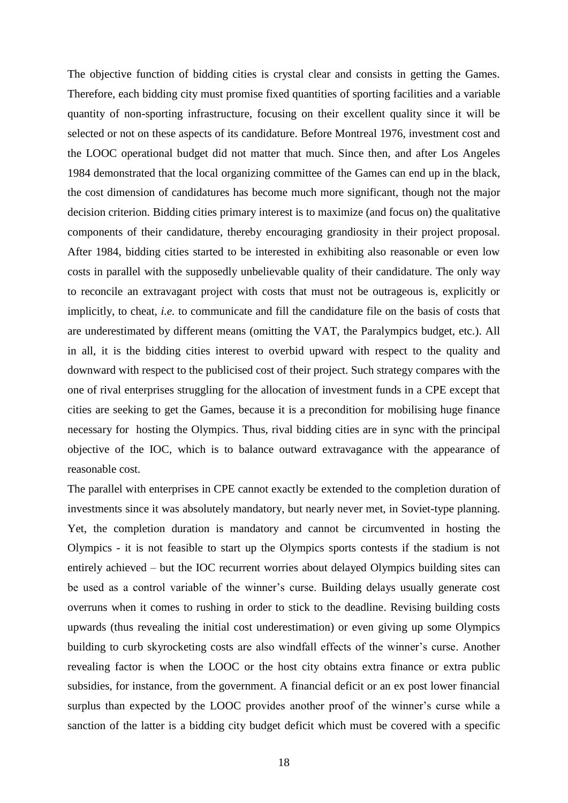The objective function of bidding cities is crystal clear and consists in getting the Games. Therefore, each bidding city must promise fixed quantities of sporting facilities and a variable quantity of non-sporting infrastructure, focusing on their excellent quality since it will be selected or not on these aspects of its candidature. Before Montreal 1976, investment cost and the LOOC operational budget did not matter that much. Since then, and after Los Angeles 1984 demonstrated that the local organizing committee of the Games can end up in the black, the cost dimension of candidatures has become much more significant, though not the major decision criterion. Bidding cities primary interest is to maximize (and focus on) the qualitative components of their candidature, thereby encouraging grandiosity in their project proposal. After 1984, bidding cities started to be interested in exhibiting also reasonable or even low costs in parallel with the supposedly unbelievable quality of their candidature. The only way to reconcile an extravagant project with costs that must not be outrageous is, explicitly or implicitly, to cheat, *i.e.* to communicate and fill the candidature file on the basis of costs that are underestimated by different means (omitting the VAT, the Paralympics budget, etc.). All in all, it is the bidding cities interest to overbid upward with respect to the quality and downward with respect to the publicised cost of their project. Such strategy compares with the one of rival enterprises struggling for the allocation of investment funds in a CPE except that cities are seeking to get the Games, because it is a precondition for mobilising huge finance necessary for hosting the Olympics. Thus, rival bidding cities are in sync with the principal objective of the IOC, which is to balance outward extravagance with the appearance of reasonable cost.

The parallel with enterprises in CPE cannot exactly be extended to the completion duration of investments since it was absolutely mandatory, but nearly never met, in Soviet-type planning. Yet, the completion duration is mandatory and cannot be circumvented in hosting the Olympics - it is not feasible to start up the Olympics sports contests if the stadium is not entirely achieved – but the IOC recurrent worries about delayed Olympics building sites can be used as a control variable of the winner"s curse. Building delays usually generate cost overruns when it comes to rushing in order to stick to the deadline. Revising building costs upwards (thus revealing the initial cost underestimation) or even giving up some Olympics building to curb skyrocketing costs are also windfall effects of the winner"s curse. Another revealing factor is when the LOOC or the host city obtains extra finance or extra public subsidies, for instance, from the government. A financial deficit or an ex post lower financial surplus than expected by the LOOC provides another proof of the winner"s curse while a sanction of the latter is a bidding city budget deficit which must be covered with a specific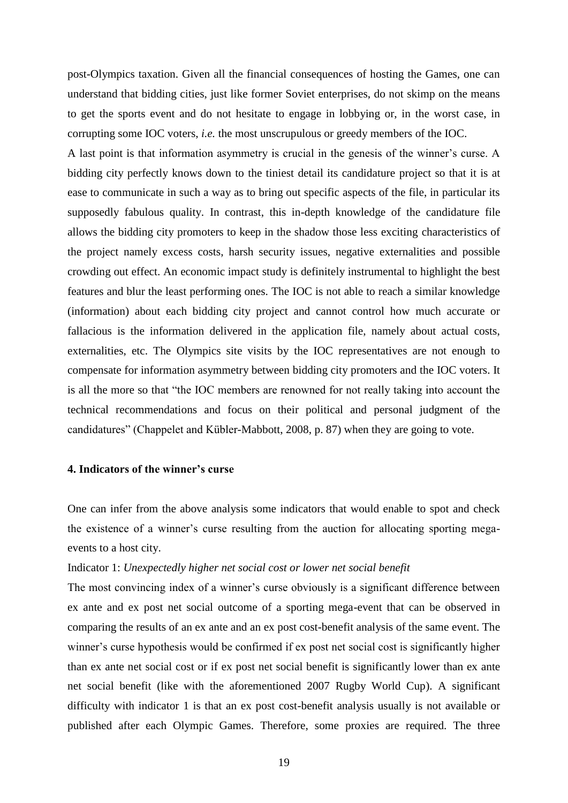post-Olympics taxation. Given all the financial consequences of hosting the Games, one can understand that bidding cities, just like former Soviet enterprises, do not skimp on the means to get the sports event and do not hesitate to engage in lobbying or, in the worst case, in corrupting some IOC voters, *i.e.* the most unscrupulous or greedy members of the IOC.

A last point is that information asymmetry is crucial in the genesis of the winner"s curse. A bidding city perfectly knows down to the tiniest detail its candidature project so that it is at ease to communicate in such a way as to bring out specific aspects of the file, in particular its supposedly fabulous quality. In contrast, this in-depth knowledge of the candidature file allows the bidding city promoters to keep in the shadow those less exciting characteristics of the project namely excess costs, harsh security issues, negative externalities and possible crowding out effect. An economic impact study is definitely instrumental to highlight the best features and blur the least performing ones. The IOC is not able to reach a similar knowledge (information) about each bidding city project and cannot control how much accurate or fallacious is the information delivered in the application file, namely about actual costs, externalities, etc. The Olympics site visits by the IOC representatives are not enough to compensate for information asymmetry between bidding city promoters and the IOC voters. It is all the more so that "the IOC members are renowned for not really taking into account the technical recommendations and focus on their political and personal judgment of the candidatures" (Chappelet and Kübler-Mabbott, 2008, p. 87) when they are going to vote.

## **4. Indicators of the winner's curse**

One can infer from the above analysis some indicators that would enable to spot and check the existence of a winner"s curse resulting from the auction for allocating sporting megaevents to a host city.

## Indicator 1: *Unexpectedly higher net social cost or lower net social benefit*

The most convincing index of a winner's curse obviously is a significant difference between ex ante and ex post net social outcome of a sporting mega-event that can be observed in comparing the results of an ex ante and an ex post cost-benefit analysis of the same event. The winner's curse hypothesis would be confirmed if ex post net social cost is significantly higher than ex ante net social cost or if ex post net social benefit is significantly lower than ex ante net social benefit (like with the aforementioned 2007 Rugby World Cup). A significant difficulty with indicator 1 is that an ex post cost-benefit analysis usually is not available or published after each Olympic Games. Therefore, some proxies are required. The three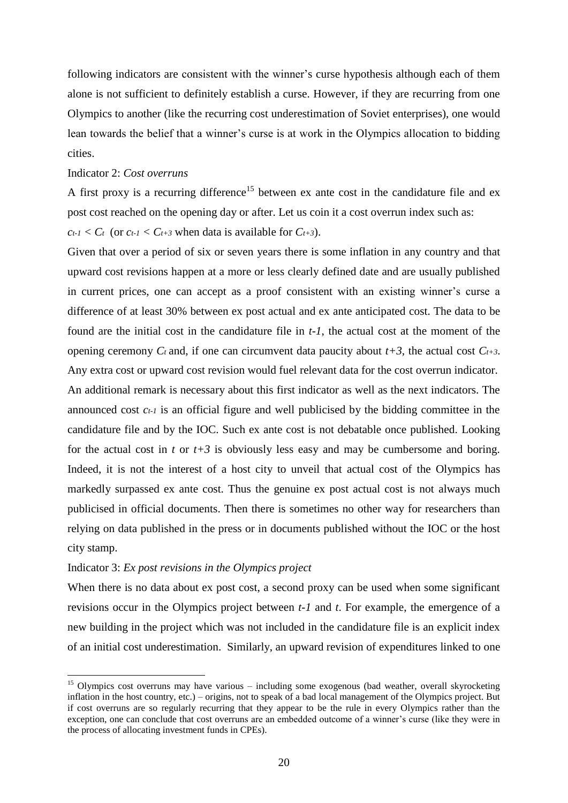following indicators are consistent with the winner"s curse hypothesis although each of them alone is not sufficient to definitely establish a curse. However, if they are recurring from one Olympics to another (like the recurring cost underestimation of Soviet enterprises), one would lean towards the belief that a winner's curse is at work in the Olympics allocation to bidding cities.

## Indicator 2: *Cost overruns*

A first proxy is a recurring difference<sup>15</sup> between ex ante cost in the candidature file and ex post cost reached on the opening day or after. Let us coin it a cost overrun index such as:

 $c_{t-1} < C_t$  (or  $c_{t-1} < C_{t+3}$  when data is available for  $C_{t+3}$ ).

Given that over a period of six or seven years there is some inflation in any country and that upward cost revisions happen at a more or less clearly defined date and are usually published in current prices, one can accept as a proof consistent with an existing winner"s curse a difference of at least 30% between ex post actual and ex ante anticipated cost. The data to be found are the initial cost in the candidature file in *t-1*, the actual cost at the moment of the opening ceremony  $C_t$  and, if one can circumvent data paucity about  $t+3$ , the actual cost  $C_{t+3}$ . Any extra cost or upward cost revision would fuel relevant data for the cost overrun indicator. An additional remark is necessary about this first indicator as well as the next indicators. The announced cost *ct-1* is an official figure and well publicised by the bidding committee in the candidature file and by the IOC. Such ex ante cost is not debatable once published. Looking for the actual cost in *t* or  $t+3$  is obviously less easy and may be cumbersome and boring. Indeed, it is not the interest of a host city to unveil that actual cost of the Olympics has markedly surpassed ex ante cost. Thus the genuine ex post actual cost is not always much publicised in official documents. Then there is sometimes no other way for researchers than relying on data published in the press or in documents published without the IOC or the host city stamp.

Indicator 3: *Ex post revisions in the Olympics project*

<u>.</u>

When there is no data about ex post cost, a second proxy can be used when some significant revisions occur in the Olympics project between *t-1* and *t*. For example, the emergence of a new building in the project which was not included in the candidature file is an explicit index of an initial cost underestimation. Similarly, an upward revision of expenditures linked to one

<sup>&</sup>lt;sup>15</sup> Olympics cost overruns may have various – including some exogenous (bad weather, overall skyrocketing inflation in the host country, etc.) – origins, not to speak of a bad local management of the Olympics project. But if cost overruns are so regularly recurring that they appear to be the rule in every Olympics rather than the exception, one can conclude that cost overruns are an embedded outcome of a winner"s curse (like they were in the process of allocating investment funds in CPEs).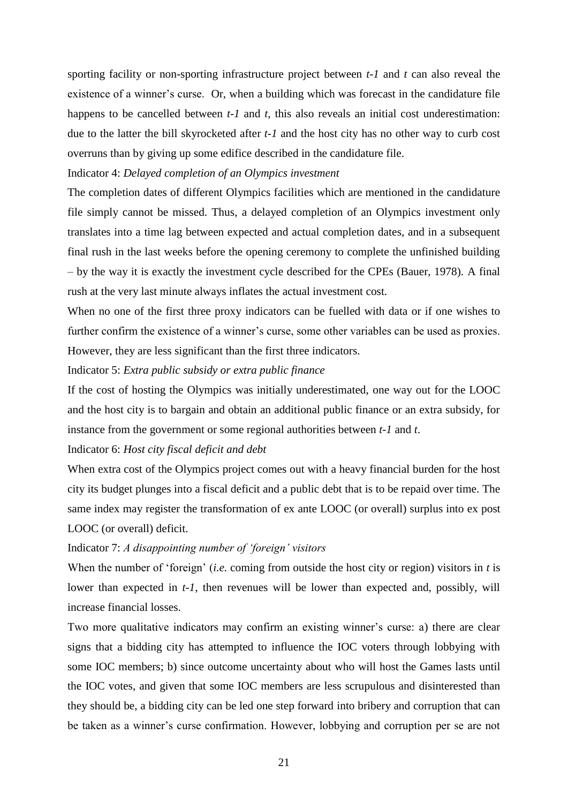sporting facility or non-sporting infrastructure project between *t-1* and *t* can also reveal the existence of a winner"s curse. Or, when a building which was forecast in the candidature file happens to be cancelled between *t-1* and *t*, this also reveals an initial cost underestimation: due to the latter the bill skyrocketed after *t-1* and the host city has no other way to curb cost overruns than by giving up some edifice described in the candidature file.

## Indicator 4: *Delayed completion of an Olympics investment*

The completion dates of different Olympics facilities which are mentioned in the candidature file simply cannot be missed. Thus, a delayed completion of an Olympics investment only translates into a time lag between expected and actual completion dates, and in a subsequent final rush in the last weeks before the opening ceremony to complete the unfinished building – by the way it is exactly the investment cycle described for the CPEs (Bauer, 1978). A final rush at the very last minute always inflates the actual investment cost.

When no one of the first three proxy indicators can be fuelled with data or if one wishes to further confirm the existence of a winner's curse, some other variables can be used as proxies. However, they are less significant than the first three indicators.

Indicator 5: *Extra public subsidy or extra public finance*

If the cost of hosting the Olympics was initially underestimated, one way out for the LOOC and the host city is to bargain and obtain an additional public finance or an extra subsidy, for instance from the government or some regional authorities between *t-1* and *t*.

## Indicator 6: *Host city fiscal deficit and debt*

When extra cost of the Olympics project comes out with a heavy financial burden for the host city its budget plunges into a fiscal deficit and a public debt that is to be repaid over time. The same index may register the transformation of ex ante LOOC (or overall) surplus into ex post LOOC (or overall) deficit.

## Indicator 7: *A disappointing number of "foreign" visitors*

When the number of "foreign" (*i.e.* coming from outside the host city or region) visitors in *t* is lower than expected in *t-1*, then revenues will be lower than expected and, possibly, will increase financial losses.

Two more qualitative indicators may confirm an existing winner"s curse: a) there are clear signs that a bidding city has attempted to influence the IOC voters through lobbying with some IOC members; b) since outcome uncertainty about who will host the Games lasts until the IOC votes, and given that some IOC members are less scrupulous and disinterested than they should be, a bidding city can be led one step forward into bribery and corruption that can be taken as a winner's curse confirmation. However, lobbying and corruption per se are not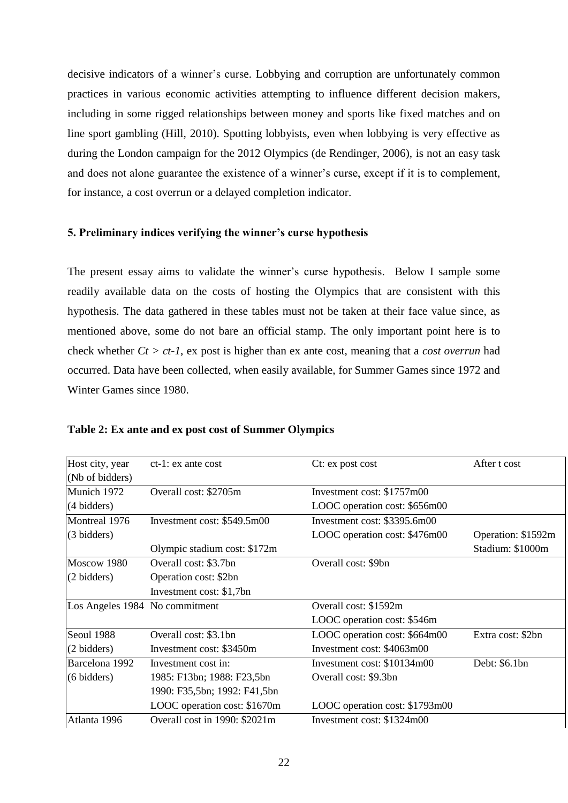decisive indicators of a winner's curse. Lobbying and corruption are unfortunately common practices in various economic activities attempting to influence different decision makers, including in some rigged relationships between money and sports like fixed matches and on line sport gambling (Hill, 2010). Spotting lobbyists, even when lobbying is very effective as during the London campaign for the 2012 Olympics (de Rendinger, 2006), is not an easy task and does not alone guarantee the existence of a winner's curse, except if it is to complement, for instance, a cost overrun or a delayed completion indicator.

## **5. Preliminary indices verifying the winner's curse hypothesis**

The present essay aims to validate the winner"s curse hypothesis. Below I sample some readily available data on the costs of hosting the Olympics that are consistent with this hypothesis. The data gathered in these tables must not be taken at their face value since, as mentioned above, some do not bare an official stamp. The only important point here is to check whether *Ct > ct-1*, ex post is higher than ex ante cost, meaning that a *cost overrun* had occurred. Data have been collected, when easily available, for Summer Games since 1972 and Winter Games since 1980.

| Host city, year                | $ct-1$ : ex ante cost         | Ct: ex post cost               | After t cost       |
|--------------------------------|-------------------------------|--------------------------------|--------------------|
| (Nb of bidders)                |                               |                                |                    |
| Munich 1972                    | Overall cost: \$2705m         | Investment cost: \$1757m00     |                    |
| (4 bidders)                    |                               | LOOC operation cost: \$656m00  |                    |
| Montreal 1976                  | Investment cost: \$549.5m00   | Investment cost: \$3395.6m00   |                    |
| (3 bidders)                    |                               | LOOC operation cost: \$476m00  | Operation: \$1592m |
|                                | Olympic stadium cost: \$172m  |                                | Stadium: \$1000m   |
| Moscow 1980                    | Overall cost: \$3.7bn         | Overall cost: \$9bn            |                    |
| (2 bidders)                    | Operation cost: \$2bn         |                                |                    |
|                                | Investment cost: \$1,7bn      |                                |                    |
| Los Angeles 1984 No commitment |                               | Overall cost: \$1592m          |                    |
|                                |                               | LOOC operation cost: \$546m    |                    |
| Seoul 1988                     | Overall cost: \$3.1bn         | LOOC operation cost: \$664m00  | Extra cost: \$2bn  |
| (2 bidders)                    | Investment cost: \$3450m      | Investment cost: \$4063m00     |                    |
| Barcelona 1992                 | Investment cost in:           | Investment cost: \$10134m00    | Debt: \$6.1bn      |
| (6 bidders)                    | 1985: F13bn; 1988: F23,5bn    | Overall cost: \$9.3bn          |                    |
|                                | 1990: F35,5bn; 1992: F41,5bn  |                                |                    |
|                                | LOOC operation cost: \$1670m  | LOOC operation cost: \$1793m00 |                    |
| Atlanta 1996                   | Overall cost in 1990: \$2021m | Investment cost: \$1324m00     |                    |
|                                |                               |                                |                    |

## **Table 2: Ex ante and ex post cost of Summer Olympics**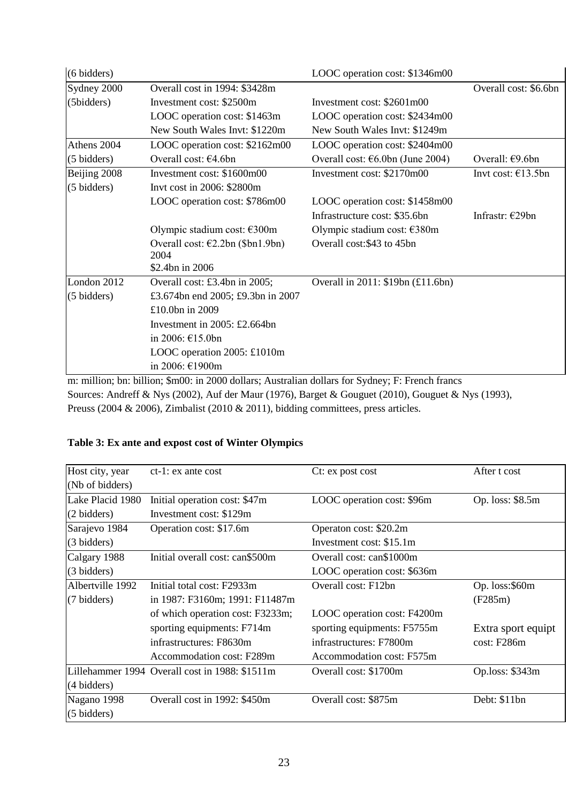| $(6 \text{ bidders})$ |                                                                                                  | LOOC operation cost: \$1346m00             |                              |
|-----------------------|--------------------------------------------------------------------------------------------------|--------------------------------------------|------------------------------|
| Sydney 2000           | Overall cost in 1994: \$3428m                                                                    |                                            | Overall cost: \$6.6bn        |
| (5bidders)            | Investment cost: \$2500m                                                                         | Investment cost: \$2601m00                 |                              |
|                       | LOOC operation cost: \$1463m                                                                     | LOOC operation cost: \$2434m00             |                              |
|                       | New South Wales Invt: \$1220m                                                                    | New South Wales Invt: \$1249m              |                              |
| Athens 2004           | LOOC operation cost: \$2162m00                                                                   | LOOC operation cost: \$2404m00             |                              |
| (5 bidders)           | Overall cost: $€4.6bn$                                                                           | Overall cost: $\epsilon$ 6.0bn (June 2004) | Overall: $E9.6bn$            |
| Beijing 2008          | Investment cost: \$1600m00                                                                       | Investment cost: \$2170m00                 | Invt cost: $\epsilon$ 13.5bn |
| (5 bidders)           | Invt cost in 2006: \$2800m                                                                       |                                            |                              |
|                       | LOOC operation cost: \$786m00                                                                    | LOOC operation cost: \$1458m00             |                              |
|                       |                                                                                                  | Infrastructure cost: \$35.6bn              | Infrastr: €29bn              |
|                       | Olympic stadium cost: €300m                                                                      | Olympic stadium cost: €380m                |                              |
|                       | Overall cost: €2.2bn (\$bn1.9bn)                                                                 | Overall cost: \$43 to 45bn                 |                              |
|                       | 2004                                                                                             |                                            |                              |
|                       | \$2.4bn in 2006                                                                                  |                                            |                              |
| London 2012           | Overall cost: £3.4bn in 2005;                                                                    | Overall in 2011: \$19bn (£11.6bn)          |                              |
| (5 bidders)           | £3.674bn end 2005; £9.3bn in 2007                                                                |                                            |                              |
|                       | £10.0bn in 2009                                                                                  |                                            |                              |
|                       | Investment in $2005$ : £2.664bn                                                                  |                                            |                              |
|                       | in 2006: €15.0bn                                                                                 |                                            |                              |
|                       | LOOC operation 2005: £1010m                                                                      |                                            |                              |
|                       | in 2006: €1900m                                                                                  |                                            |                              |
|                       | m: million; bn: billion; \$m00: in 2000 dollars; Australian dollars for Sydney; F: French francs |                                            |                              |

m: million; bn: billion; \$m00: in 2000 dollars; Australian dollars for Sydney; F: French francs Sources: Andreff & Nys (2002), Auf der Maur (1976), Barget & Gouguet (2010), Gouguet & Nys (1993), Preuss (2004 & 2006), Zimbalist (2010 & 2011), bidding committees, press articles.

## **Table 3: Ex ante and expost cost of Winter Olympics**

| Host city, year       | $ct-1$ : ex ante cost                          | Ct: ex post cost            | After t cost       |
|-----------------------|------------------------------------------------|-----------------------------|--------------------|
| (Nb of bidders)       |                                                |                             |                    |
| Lake Placid 1980      | Initial operation cost: \$47m                  | LOOC operation cost: \$96m  | Op. loss: \$8.5m   |
| (2 bidders)           | Investment cost: \$129m                        |                             |                    |
| Sarajevo 1984         | Operation cost: \$17.6m                        | Operaton cost: \$20.2m      |                    |
| (3 bidders)           |                                                | Investment cost: \$15.1m    |                    |
| Calgary 1988          | Initial overall cost: can\$500m                | Overall cost: can\$1000m    |                    |
| (3 bidders)           |                                                | LOOC operation cost: \$636m |                    |
| Albertville 1992      | Initial total cost: F2933m                     | Overall cost: F12bn         | Op. loss:\$60m     |
| $(7 \text{ bidders})$ | in 1987: F3160m; 1991: F11487m                 |                             | (F285m)            |
|                       | of which operation cost: F3233m;               | LOOC operation cost: F4200m |                    |
|                       | sporting equipments: F714m                     | sporting equipments: F5755m | Extra sport equipt |
|                       | infrastructures: F8630m                        | infrastructures: F7800m     | cost: F286m        |
|                       | Accommodation cost: F289m                      | Accommodation cost: F575m   |                    |
|                       | Lillehammer 1994 Overall cost in 1988: \$1511m | Overall cost: \$1700m       | Op.loss: \$343m    |
| (4 bidders)           |                                                |                             |                    |
| Nagano 1998           | Overall cost in 1992: \$450m                   | Overall cost: \$875m        | Debt: \$11bn       |
| (5 bidders)           |                                                |                             |                    |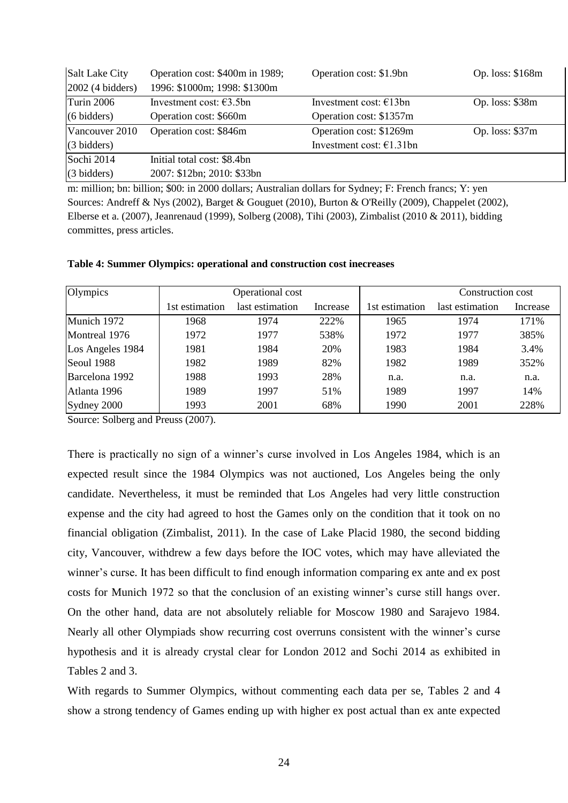| Salt Lake City        | Operation cost: \$400m in 1989; | Operation cost: \$1.9bn          | Op. loss: \$168m |
|-----------------------|---------------------------------|----------------------------------|------------------|
| $2002$ (4 bidders)    | 1996: \$1000m; 1998: \$1300m    |                                  |                  |
| Turin 2006            | Investment cost: $63.5$ bn      | Investment cost: $\epsilon$ 13bn | Op. loss: $$38m$ |
| $(6 \text{ bidders})$ | Operation cost: \$660m          | Operation cost: \$1357m          |                  |
| Vancouver 2010        | Operation cost: \$846m          | Operation cost: \$1269m          | Op. loss: $$37m$ |
| $(3 \text{ bidders})$ |                                 | Investment cost: $€1.31$ bn      |                  |
| Sochi 2014            | Initial total cost: \$8.4bn     |                                  |                  |
| $(3 \text{ bidders})$ | 2007: \$12bn; 2010: \$33bn      |                                  |                  |

m: million; bn: billion; \$00: in 2000 dollars; Australian dollars for Sydney; F: French francs; Y: yen Sources: Andreff & Nys (2002), Barget & Gouguet (2010), Burton & O'Reilly (2009), Chappelet (2002), Elberse et a. (2007), Jeanrenaud (1999), Solberg (2008), Tihi (2003), Zimbalist (2010 & 2011), bidding committes, press articles.

| Olympics         | Operational cost |                 |          |                | Construction cost |          |
|------------------|------------------|-----------------|----------|----------------|-------------------|----------|
|                  | 1st estimation   | last estimation | Increase | 1st estimation | last estimation   | Increase |
| Munich 1972      | 1968             | 1974            | 222%     | 1965           | 1974              | 171%     |
| Montreal 1976    | 1972             | 1977            | 538%     | 1972           | 1977              | 385%     |
| Los Angeles 1984 | 1981             | 1984            | 20%      | 1983           | 1984              | 3.4%     |
| Seoul 1988       | 1982             | 1989            | 82%      | 1982           | 1989              | 352%     |
| Barcelona 1992   | 1988             | 1993            | 28%      | n.a.           | n.a.              | n.a.     |
| Atlanta 1996     | 1989             | 1997            | 51%      | 1989           | 1997              | 14%      |
| Sydney 2000      | 1993             | 2001            | 68%      | 1990           | 2001              | 228%     |

## **Table 4: Summer Olympics: operational and construction cost inecreases**

Source: Solberg and Preuss (2007).

There is practically no sign of a winner"s curse involved in Los Angeles 1984, which is an expected result since the 1984 Olympics was not auctioned, Los Angeles being the only candidate. Nevertheless, it must be reminded that Los Angeles had very little construction expense and the city had agreed to host the Games only on the condition that it took on no financial obligation (Zimbalist, 2011). In the case of Lake Placid 1980, the second bidding city, Vancouver, withdrew a few days before the IOC votes, which may have alleviated the winner's curse. It has been difficult to find enough information comparing ex ante and ex post costs for Munich 1972 so that the conclusion of an existing winner"s curse still hangs over. On the other hand, data are not absolutely reliable for Moscow 1980 and Sarajevo 1984. Nearly all other Olympiads show recurring cost overruns consistent with the winner"s curse hypothesis and it is already crystal clear for London 2012 and Sochi 2014 as exhibited in Tables 2 and 3.

With regards to Summer Olympics, without commenting each data per se, Tables 2 and 4 show a strong tendency of Games ending up with higher ex post actual than ex ante expected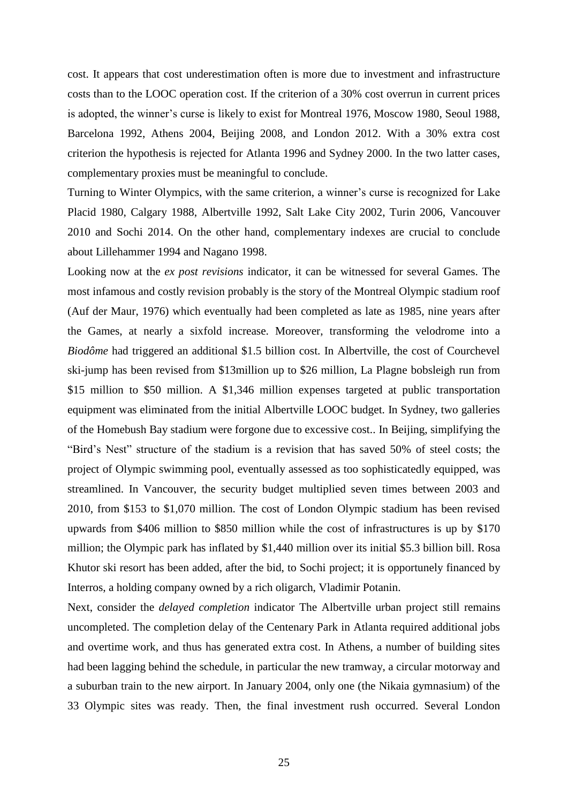cost. It appears that cost underestimation often is more due to investment and infrastructure costs than to the LOOC operation cost. If the criterion of a 30% cost overrun in current prices is adopted, the winner's curse is likely to exist for Montreal 1976, Moscow 1980, Seoul 1988, Barcelona 1992, Athens 2004, Beijing 2008, and London 2012. With a 30% extra cost criterion the hypothesis is rejected for Atlanta 1996 and Sydney 2000. In the two latter cases, complementary proxies must be meaningful to conclude.

Turning to Winter Olympics, with the same criterion, a winner"s curse is recognized for Lake Placid 1980, Calgary 1988, Albertville 1992, Salt Lake City 2002, Turin 2006, Vancouver 2010 and Sochi 2014. On the other hand, complementary indexes are crucial to conclude about Lillehammer 1994 and Nagano 1998.

Looking now at the *ex post revisions* indicator, it can be witnessed for several Games. The most infamous and costly revision probably is the story of the Montreal Olympic stadium roof (Auf der Maur, 1976) which eventually had been completed as late as 1985, nine years after the Games, at nearly a sixfold increase. Moreover, transforming the velodrome into a *Biodôme* had triggered an additional \$1.5 billion cost. In Albertville, the cost of Courchevel ski-jump has been revised from \$13million up to \$26 million, La Plagne bobsleigh run from \$15 million to \$50 million. A \$1,346 million expenses targeted at public transportation equipment was eliminated from the initial Albertville LOOC budget. In Sydney, two galleries of the Homebush Bay stadium were forgone due to excessive cost.. In Beijing, simplifying the "Bird"s Nest" structure of the stadium is a revision that has saved 50% of steel costs; the project of Olympic swimming pool, eventually assessed as too sophisticatedly equipped, was streamlined. In Vancouver, the security budget multiplied seven times between 2003 and 2010, from \$153 to \$1,070 million. The cost of London Olympic stadium has been revised upwards from \$406 million to \$850 million while the cost of infrastructures is up by \$170 million; the Olympic park has inflated by \$1,440 million over its initial \$5.3 billion bill. Rosa Khutor ski resort has been added, after the bid, to Sochi project; it is opportunely financed by Interros, a holding company owned by a rich oligarch, Vladimir Potanin.

Next, consider the *delayed completion* indicator The Albertville urban project still remains uncompleted. The completion delay of the Centenary Park in Atlanta required additional jobs and overtime work, and thus has generated extra cost. In Athens, a number of building sites had been lagging behind the schedule, in particular the new tramway, a circular motorway and a suburban train to the new airport. In January 2004, only one (the Nikaia gymnasium) of the 33 Olympic sites was ready. Then, the final investment rush occurred. Several London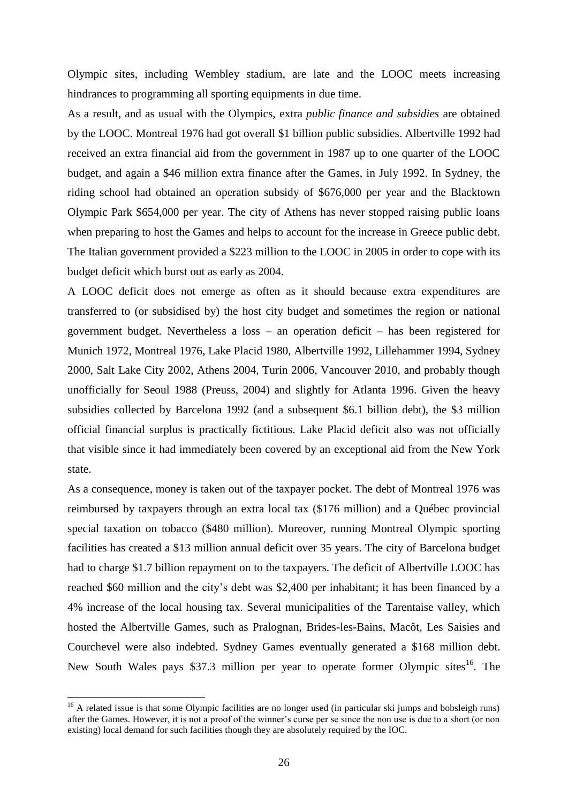Olympic sites, including Wembley stadium, are late and the LOOC meets increasing hindrances to programming all sporting equipments in due time.

As a result, and as usual with the Olympics, extra *public finance and subsidies* are obtained by the LOOC. Montreal 1976 had got overall \$1 billion public subsidies. Albertville 1992 had received an extra financial aid from the government in 1987 up to one quarter of the LOOC budget, and again a \$46 million extra finance after the Games, in July 1992. In Sydney, the riding school had obtained an operation subsidy of \$676,000 per year and the Blacktown Olympic Park \$654,000 per year. The city of Athens has never stopped raising public loans when preparing to host the Games and helps to account for the increase in Greece public debt. The Italian government provided a \$223 million to the LOOC in 2005 in order to cope with its budget deficit which burst out as early as 2004.

A LOOC deficit does not emerge as often as it should because extra expenditures are transferred to (or subsidised by) the host city budget and sometimes the region or national government budget. Nevertheless a loss – an operation deficit – has been registered for Munich 1972, Montreal 1976, Lake Placid 1980, Albertville 1992, Lillehammer 1994, Sydney 2000, Salt Lake City 2002, Athens 2004, Turin 2006, Vancouver 2010, and probably though unofficially for Seoul 1988 (Preuss, 2004) and slightly for Atlanta 1996. Given the heavy subsidies collected by Barcelona 1992 (and a subsequent \$6.1 billion debt), the \$3 million official financial surplus is practically fictitious. Lake Placid deficit also was not officially that visible since it had immediately been covered by an exceptional aid from the New York state.

As a consequence, money is taken out of the taxpayer pocket. The debt of Montreal 1976 was reimbursed by taxpayers through an extra local tax (\$176 million) and a Québec provincial special taxation on tobacco (\$480 million). Moreover, running Montreal Olympic sporting facilities has created a \$13 million annual deficit over 35 years. The city of Barcelona budget had to charge \$1.7 billion repayment on to the taxpayers. The deficit of Albertville LOOC has reached \$60 million and the city's debt was \$2,400 per inhabitant; it has been financed by a 4% increase of the local housing tax. Several municipalities of the Tarentaise valley, which hosted the Albertville Games, such as Pralognan, Brides-les-Bains, Macôt, Les Saisies and Courchevel were also indebted. Sydney Games eventually generated a \$168 million debt. New South Wales pays \$37.3 million per year to operate former Olympic sites<sup>16</sup>. The

<sup>&</sup>lt;sup>16</sup> A related issue is that some Olympic facilities are no longer used (in particular ski jumps and bobsleigh runs) after the Games. However, it is not a proof of the winner"s curse per se since the non use is due to a short (or non existing) local demand for such facilities though they are absolutely required by the IOC.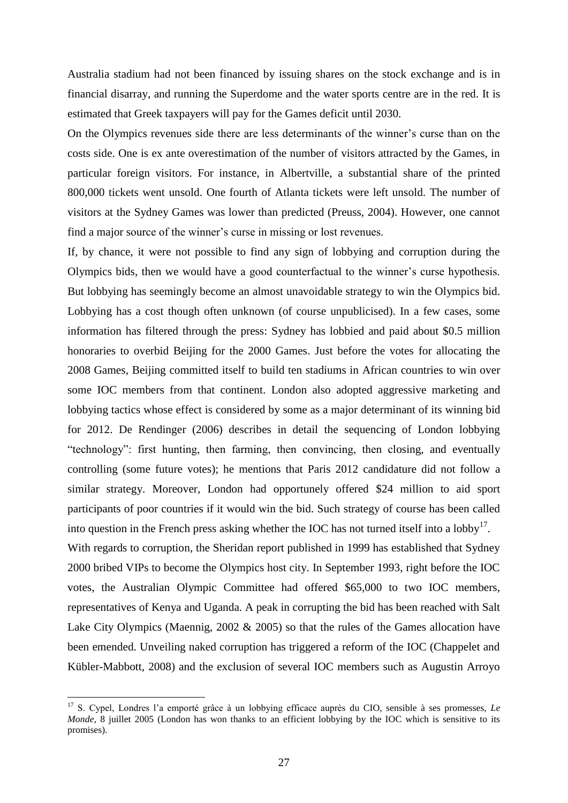Australia stadium had not been financed by issuing shares on the stock exchange and is in financial disarray, and running the Superdome and the water sports centre are in the red. It is estimated that Greek taxpayers will pay for the Games deficit until 2030.

On the Olympics revenues side there are less determinants of the winner"s curse than on the costs side. One is ex ante overestimation of the number of visitors attracted by the Games, in particular foreign visitors. For instance, in Albertville, a substantial share of the printed 800,000 tickets went unsold. One fourth of Atlanta tickets were left unsold. The number of visitors at the Sydney Games was lower than predicted (Preuss, 2004). However, one cannot find a major source of the winner's curse in missing or lost revenues.

If, by chance, it were not possible to find any sign of lobbying and corruption during the Olympics bids, then we would have a good counterfactual to the winner"s curse hypothesis. But lobbying has seemingly become an almost unavoidable strategy to win the Olympics bid. Lobbying has a cost though often unknown (of course unpublicised). In a few cases, some information has filtered through the press: Sydney has lobbied and paid about \$0.5 million honoraries to overbid Beijing for the 2000 Games. Just before the votes for allocating the 2008 Games, Beijing committed itself to build ten stadiums in African countries to win over some IOC members from that continent. London also adopted aggressive marketing and lobbying tactics whose effect is considered by some as a major determinant of its winning bid for 2012. De Rendinger (2006) describes in detail the sequencing of London lobbying "technology": first hunting, then farming, then convincing, then closing, and eventually controlling (some future votes); he mentions that Paris 2012 candidature did not follow a similar strategy. Moreover, London had opportunely offered \$24 million to aid sport participants of poor countries if it would win the bid. Such strategy of course has been called into question in the French press asking whether the IOC has not turned itself into a  $\text{lobby}^{17}$ .

With regards to corruption, the Sheridan report published in 1999 has established that Sydney 2000 bribed VIPs to become the Olympics host city. In September 1993, right before the IOC votes, the Australian Olympic Committee had offered \$65,000 to two IOC members, representatives of Kenya and Uganda. A peak in corrupting the bid has been reached with Salt Lake City Olympics (Maennig, 2002 & 2005) so that the rules of the Games allocation have been emended. Unveiling naked corruption has triggered a reform of the IOC (Chappelet and Kübler-Mabbott, 2008) and the exclusion of several IOC members such as Augustin Arroyo

<sup>&</sup>lt;sup>17</sup> S. Cypel, Londres l'a emporté grâce à un lobbying efficace auprès du CIO, sensible à ses promesses, *Le Monde*, 8 juillet 2005 (London has won thanks to an efficient lobbying by the IOC which is sensitive to its promises).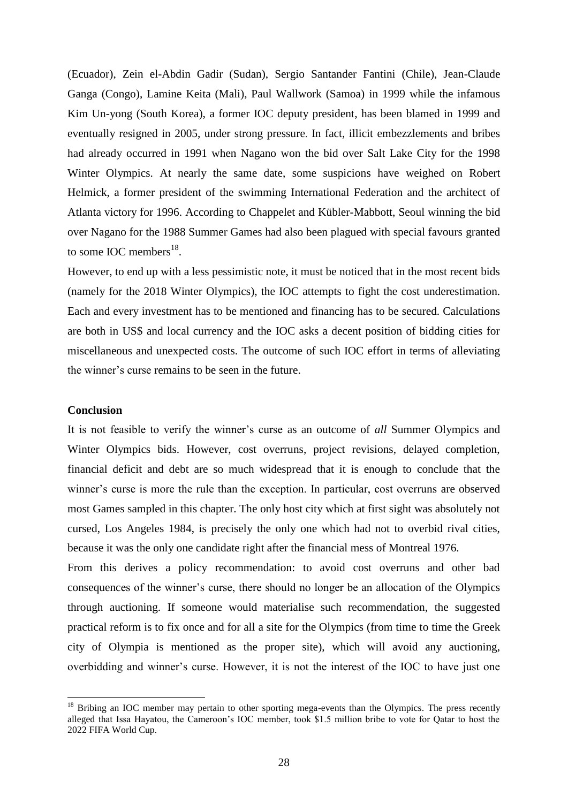(Ecuador), Zein el-Abdin Gadir (Sudan), Sergio Santander Fantini (Chile), Jean-Claude Ganga (Congo), Lamine Keita (Mali), Paul Wallwork (Samoa) in 1999 while the infamous Kim Un-yong (South Korea), a former IOC deputy president, has been blamed in 1999 and eventually resigned in 2005, under strong pressure. In fact, illicit embezzlements and bribes had already occurred in 1991 when Nagano won the bid over Salt Lake City for the 1998 Winter Olympics. At nearly the same date, some suspicions have weighed on Robert Helmick, a former president of the swimming International Federation and the architect of Atlanta victory for 1996. According to Chappelet and Kübler-Mabbott, Seoul winning the bid over Nagano for the 1988 Summer Games had also been plagued with special favours granted to some IOC members $^{18}$ .

However, to end up with a less pessimistic note, it must be noticed that in the most recent bids (namely for the 2018 Winter Olympics), the IOC attempts to fight the cost underestimation. Each and every investment has to be mentioned and financing has to be secured. Calculations are both in US\$ and local currency and the IOC asks a decent position of bidding cities for miscellaneous and unexpected costs. The outcome of such IOC effort in terms of alleviating the winner"s curse remains to be seen in the future.

## **Conclusion**

1

It is not feasible to verify the winner"s curse as an outcome of *all* Summer Olympics and Winter Olympics bids. However, cost overruns, project revisions, delayed completion, financial deficit and debt are so much widespread that it is enough to conclude that the winner's curse is more the rule than the exception. In particular, cost overruns are observed most Games sampled in this chapter. The only host city which at first sight was absolutely not cursed, Los Angeles 1984, is precisely the only one which had not to overbid rival cities, because it was the only one candidate right after the financial mess of Montreal 1976.

From this derives a policy recommendation: to avoid cost overruns and other bad consequences of the winner"s curse, there should no longer be an allocation of the Olympics through auctioning. If someone would materialise such recommendation, the suggested practical reform is to fix once and for all a site for the Olympics (from time to time the Greek city of Olympia is mentioned as the proper site), which will avoid any auctioning, overbidding and winner"s curse. However, it is not the interest of the IOC to have just one

<sup>&</sup>lt;sup>18</sup> Bribing an IOC member may pertain to other sporting mega-events than the Olympics. The press recently alleged that Issa Hayatou, the Cameroon"s IOC member, took \$1.5 million bribe to vote for Qatar to host the 2022 FIFA World Cup.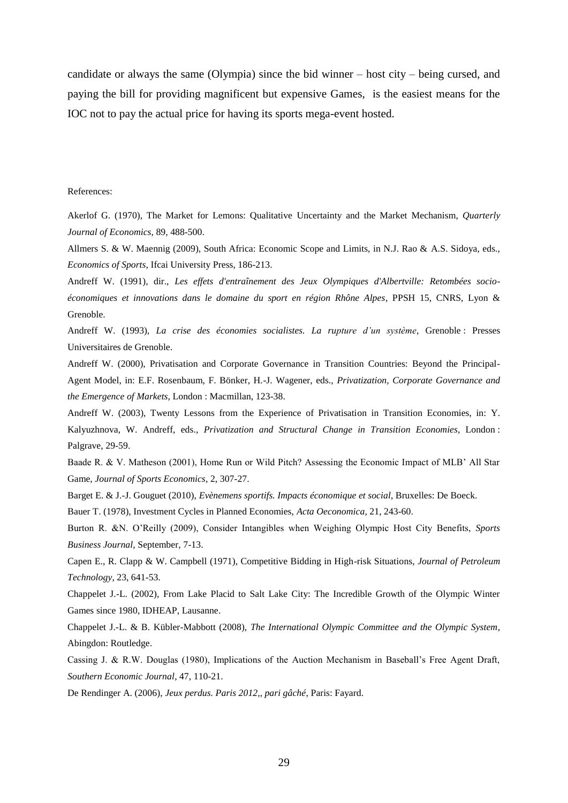candidate or always the same (Olympia) since the bid winner – host city – being cursed, and paying the bill for providing magnificent but expensive Games, is the easiest means for the IOC not to pay the actual price for having its sports mega-event hosted.

#### References:

Akerlof G. (1970), The Market for Lemons: Qualitative Uncertainty and the Market Mechanism, *Quarterly Journal of Economics*, 89, 488-500.

Allmers S. & W. Maennig (2009), South Africa: Economic Scope and Limits, in N.J. Rao & A.S. Sidoya, eds., *Economics of Sports*, Ifcai University Press, 186-213.

Andreff W. (1991), dir., *Les effets d'entraînement des Jeux Olympiques d'Albertville: Retombées socioéconomiques et innovations dans le domaine du sport en région Rhône Alpes*, PPSH 15, CNRS, Lyon & Grenoble.

Andreff W. (1993), *La crise des économies socialistes. La rupture d"un système*, Grenoble : Presses Universitaires de Grenoble.

Andreff W. (2000), Privatisation and Corporate Governance in Transition Countries: Beyond the Principal-Agent Model, in: E.F. Rosenbaum, F. Bönker, H.-J. Wagener, eds., *Privatization, Corporate Governance and the Emergence of Markets*, London : Macmillan, 123-38.

Andreff W. (2003), Twenty Lessons from the Experience of Privatisation in Transition Economies, in: Y. Kalyuzhnova, W. Andreff, eds., *Privatization and Structural Change in Transition Economies*, London : Palgrave, 29-59.

Baade R. & V. Matheson (2001), Home Run or Wild Pitch? Assessing the Economic Impact of MLB" All Star Game, *Journal of Sports Economics*, 2, 307-27.

Barget E. & J.-J. Gouguet (2010), *Evènemens sportifs. Impacts économique et social*, Bruxelles: De Boeck.

Bauer T. (1978), Investment Cycles in Planned Economies, *Acta Oeconomica*, 21, 243-60.

Burton R. &N. O"Reilly (2009), Consider Intangibles when Weighing Olympic Host City Benefits, *Sports Business Journal*, September, 7-13.

Capen E., R. Clapp & W. Campbell (1971), Competitive Bidding in High-risk Situations, *Journal of Petroleum Technology*, 23, 641-53.

Chappelet J.-L. (2002), From Lake Placid to Salt Lake City: The Incredible Growth of the Olympic Winter Games since 1980, IDHEAP, Lausanne.

Chappelet J.-L. & B. Kübler-Mabbott (2008), *The International Olympic Committee and the Olympic System*, Abingdon: Routledge.

Cassing J. & R.W. Douglas (1980), Implications of the Auction Mechanism in Baseball"s Free Agent Draft, *Southern Economic Journal*, 47, 110-21.

De Rendinger A. (2006), *Jeux perdus. Paris 2012,, pari gâché*, Paris: Fayard.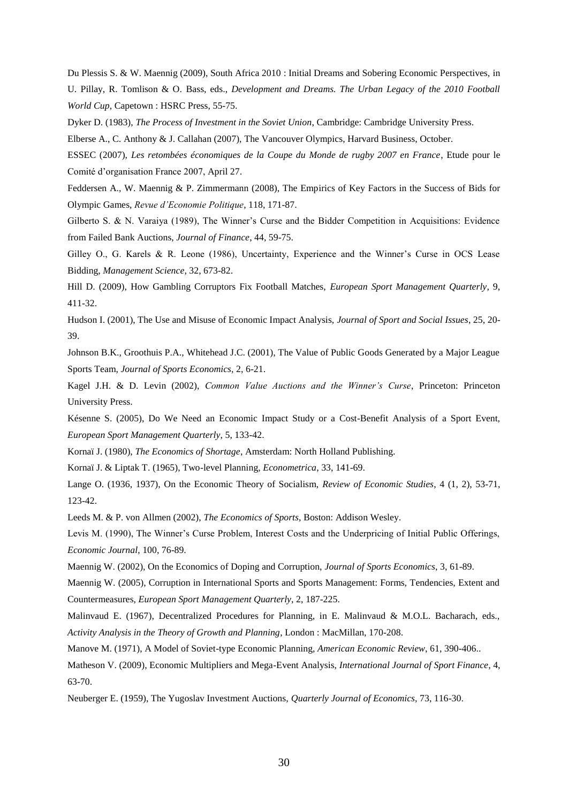Du Plessis S. & W. Maennig (2009), South Africa 2010 : Initial Dreams and Sobering Economic Perspectives, in U. Pillay, R. Tomlison & O. Bass, eds., *Development and Dreams. The Urban Legacy of the 2010 Football World Cup*, Capetown : HSRC Press, 55-75.

Dyker D. (1983), *The Process of Investment in the Soviet Union*, Cambridge: Cambridge University Press.

Elberse A., C. Anthony & J. Callahan (2007), The Vancouver Olympics, Harvard Business, October.

ESSEC (2007), *Les retombées économiques de la Coupe du Monde de rugby 2007 en France*, Etude pour le Comité d"organisation France 2007, April 27.

Feddersen A., W. Maennig & P. Zimmermann (2008), The Empirics of Key Factors in the Success of Bids for Olympic Games, *Revue d"Economie Politique*, 118, 171-87.

Gilberto S. & N. Varaiya (1989), The Winner's Curse and the Bidder Competition in Acquisitions: Evidence from Failed Bank Auctions, *Journal of Finance*, 44, 59-75.

Gilley O., G. Karels & R. Leone (1986), Uncertainty, Experience and the Winner's Curse in OCS Lease Bidding, *Management Science*, 32, 673-82.

Hill D. (2009), How Gambling Corruptors Fix Football Matches, *European Sport Management Quarterly*, 9, 411-32.

Hudson I. (2001), The Use and Misuse of Economic Impact Analysis, *Journal of Sport and Social Issues*, 25, 20- 39.

Johnson B.K., Groothuis P.A., Whitehead J.C. (2001), The Value of Public Goods Generated by a Major League Sports Team, *Journal of Sports Economics*, 2, 6-21.

Kagel J.H. & D. Levin (2002), *Common Value Auctions and the Winner"s Curse*, Princeton: Princeton University Press.

Késenne S. (2005), Do We Need an Economic Impact Study or a Cost-Benefit Analysis of a Sport Event, *European Sport Management Quarterly*, 5, 133-42.

Kornaï J. (1980), *The Economics of Shortage*, Amsterdam: North Holland Publishing.

Kornaï J. & Liptak T. (1965), Two-level Planning, *Econometrica*, 33, 141-69.

Lange O. (1936, 1937), On the Economic Theory of Socialism, *Review of Economic Studies*, 4 (1, 2), 53-71, 123-42.

Leeds M. & P. von Allmen (2002), *The Economics of Sports*, Boston: Addison Wesley.

Levis M. (1990), The Winner"s Curse Problem, Interest Costs and the Underpricing of Initial Public Offerings, *Economic Journal*, 100, 76-89.

Maennig W. (2002), On the Economics of Doping and Corruption, *Journal of Sports Economics*, 3, 61-89.

Maennig W. (2005), Corruption in International Sports and Sports Management: Forms, Tendencies, Extent and Countermeasures, *European Sport Management Quarterly*, 2, 187-225.

Malinvaud E. (1967), Decentralized Procedures for Planning, in E. Malinvaud & M.O.L. Bacharach, eds., *Activity Analysis in the Theory of Growth and Planning*, London : MacMillan, 170-208.

Manove M. (1971), A Model of Soviet-type Economic Planning, *American Economic Review*, 61, 390-406..

Matheson V. (2009), Economic Multipliers and Mega-Event Analysis, *International Journal of Sport Finance*, 4, 63-70.

Neuberger E. (1959), The Yugoslav Investment Auctions, *Quarterly Journal of Economics*, 73, 116-30.